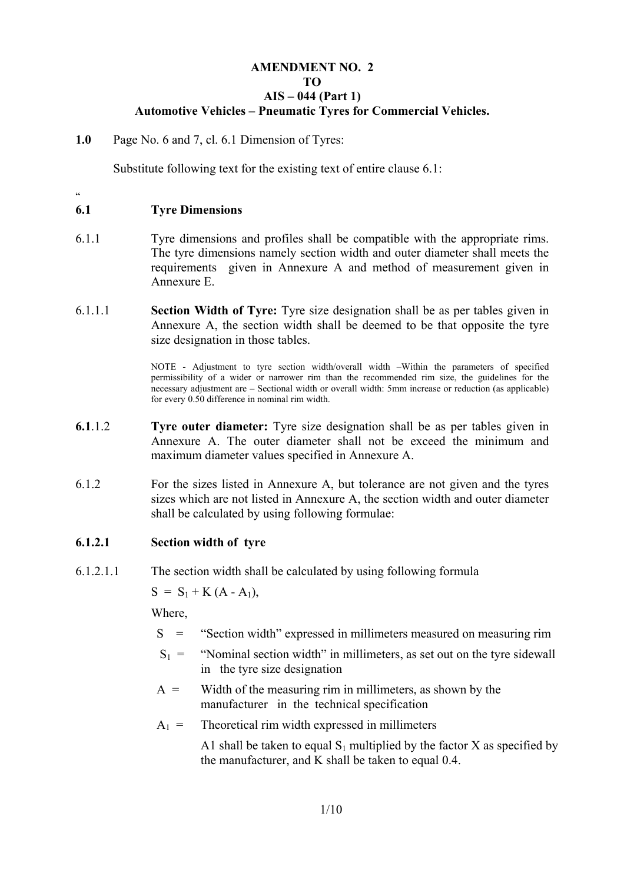# **AMENDMENT NO. 2 TO AIS – 044 (Part 1) Automotive Vehicles – Pneumatic Tyres for Commercial Vehicles.**

**1.0** Page No. 6 and 7, cl. 6.1 Dimension of Tyres:

Substitute following text for the existing text of entire clause 6.1:

 $\ddot{\phantom{0}}$ 

# **6.1 Tyre Dimensions**

- 6.1.1 Tyre dimensions and profiles shall be compatible with the appropriate rims. The tyre dimensions namely section width and outer diameter shall meets the requirements given in Annexure A and method of measurement given in Annexure E.
- 6.1.1.1 **Section Width of Tyre:** Tyre size designation shall be as per tables given in Annexure A, the section width shall be deemed to be that opposite the tyre size designation in those tables.

NOTE - Adjustment to tyre section width/overall width –Within the parameters of specified permissibility of a wider or narrower rim than the recommended rim size, the guidelines for the necessary adjustment are – Sectional width or overall width: 5mm increase or reduction (as applicable) for every 0.50 difference in nominal rim width.

- **6.1**.1.2 **Tyre outer diameter:** Tyre size designation shall be as per tables given in Annexure A. The outer diameter shall not be exceed the minimum and maximum diameter values specified in Annexure A.
- 6.1.2 For the sizes listed in Annexure A, but tolerance are not given and the tyres sizes which are not listed in Annexure A, the section width and outer diameter shall be calculated by using following formulae:

# **6.1.2.1 Section width of tyre**

6.1.2.1.1 The section width shall be calculated by using following formula

 $S = S_1 + K (A - A_1),$ 

Where,

- S = "Section width" expressed in millimeters measured on measuring rim
- $S_1$  = "Nominal section width" in millimeters, as set out on the tyre sidewall in the tyre size designation
- $A =$  Width of the measuring rim in millimeters, as shown by the manufacturer in the technical specification
- $A_1$  = Theoretical rim width expressed in millimeters

A1 shall be taken to equal  $S_1$  multiplied by the factor X as specified by the manufacturer, and K shall be taken to equal 0.4.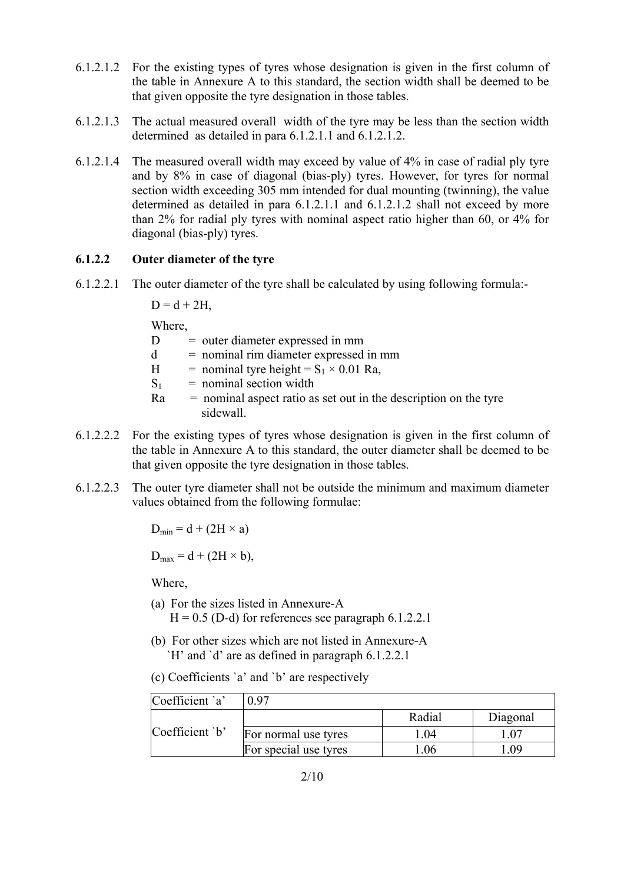- 6.1.2.1.2 For the existing types of tyres whose designation is given in the first column of the table in Annexure A to this standard, the section width shall be deemed to be that given opposite the tyre designation in those tables.
- 6.1.2.1.3 The actual measured overall width of the tyre may be less than the section width determined as detailed in para 6.1.2.1.1 and 6.1.2.1.2.
- 6.1.2.1.4 The measured overall width may exceed by value of 4% in case of radial ply tyre and by 8% in case of diagonal (bias-ply) tyres. However, for tyres for normal section width exceeding 305 mm intended for dual mounting (twinning), the value determined as detailed in para 6.1.2.1.1 and 6.1.2.1.2 shall not exceed by more than 2% for radial ply tyres with nominal aspect ratio higher than 60, or 4% for diagonal (bias-ply) tyres.

# **6.1.2.2 Outer diameter of the tyre**

6.1.2.2.1 The outer diameter of the tyre shall be calculated by using following formula:-

 $D = d + 2H$ .

Where,

 $D =$  outer diameter expressed in mm

- $d =$  nominal rim diameter expressed in mm
- H = nominal tyre height =  $S_1 \times 0.01$  Ra,
- $S_1$  = nominal section width
- $Ra =$  nominal aspect ratio as set out in the description on the tyre sidewall.
- 6.1.2.2.2 For the existing types of tyres whose designation is given in the first column of the table in Annexure A to this standard, the outer diameter shall be deemed to be that given opposite the tyre designation in those tables.
- 6.1.2.2.3 The outer tyre diameter shall not be outside the minimum and maximum diameter values obtained from the following formulae:

 $D_{\text{min}} = d + (2H \times a)$ 

 $D_{max} = d + (2H \times b),$ 

Where,

- (a) For the sizes listed in Annexure-A  $H = 0.5$  (D-d) for references see paragraph 6.1.2.2.1
- (b) For other sizes which are not listed in Annexure-A `H' and `d' are as defined in paragraph 6.1.2.2.1
- (c) Coefficients `a' and `b' are respectively

| Coefficient `a' | በ 97                  |        |          |
|-----------------|-----------------------|--------|----------|
|                 |                       | Radial | Diagonal |
| Coefficient `b' | For normal use tyres  | .04    |          |
|                 | For special use tyres | .06    | N9       |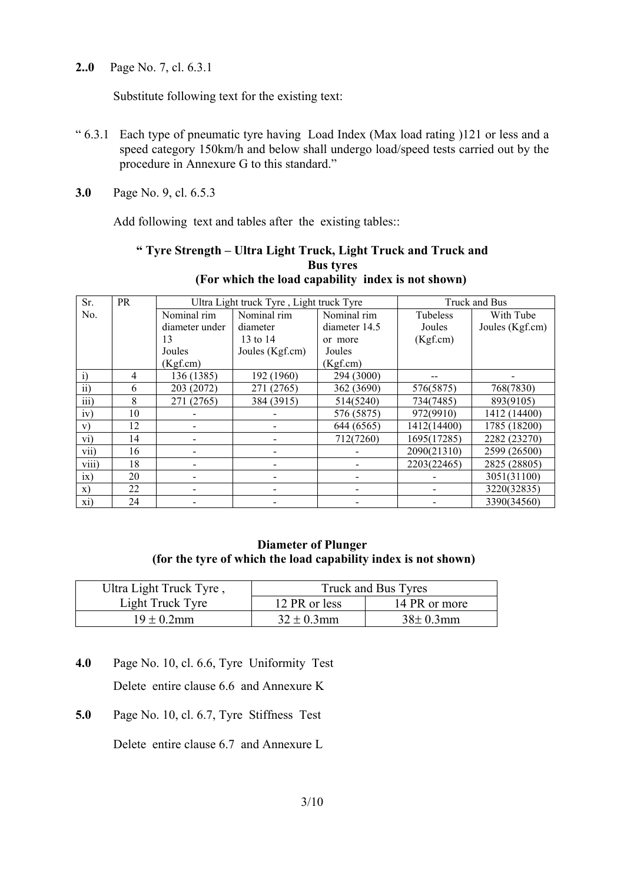**2..0** Page No. 7, cl. 6.3.1

Substitute following text for the existing text:

- " 6.3.1 Each type of pneumatic tyre having Load Index (Max load rating )121 or less and a speed category 150km/h and below shall undergo load/speed tests carried out by the procedure in Annexure G to this standard."
- **3.0** Page No. 9, cl. 6.5.3

Add following text and tables after the existing tables::

# **" Tyre Strength – Ultra Light Truck, Light Truck and Truck and Bus tyres (For which the load capability index is not shown)**

| Sr.              | PR |                          | Ultra Light truck Tyre, Light truck Tyre |               |             | Truck and Bus   |
|------------------|----|--------------------------|------------------------------------------|---------------|-------------|-----------------|
| N <sub>0</sub>   |    | Nominal rim              | Nominal rim                              | Nominal rim   | Tubeless    | With Tube       |
|                  |    | diameter under           | diameter                                 | diameter 14.5 | Joules      | Joules (Kgf.cm) |
|                  |    | 13                       | 13 to 14                                 | or more       | (Kgf.cm)    |                 |
|                  |    | Joules                   | Joules (Kgf.cm)                          | Joules        |             |                 |
|                  |    | (Kgf.cm)                 |                                          | (Kgf.cm)      |             |                 |
| $\overline{1}$   | 4  | 136 (1385)               | 192 (1960)                               | 294 (3000)    |             |                 |
| $\overline{ii}$  | 6  | 203 (2072)               | 271 (2765)                               | 362 (3690)    | 576(5875)   | 768(7830)       |
| $\overline{iii}$ | 8  | 271 (2765)               | 384 (3915)                               | 514(5240)     | 734(7485)   | 893(9105)       |
| iv)              | 10 |                          |                                          | 576 (5875)    | 972(9910)   | 1412 (14400)    |
| V)               | 12 |                          |                                          | 644 (6565)    | 1412(14400) | 1785 (18200)    |
| vi)              | 14 |                          |                                          | 712(7260)     | 1695(17285) | 2282 (23270)    |
| vii)             | 16 |                          |                                          |               | 2090(21310) | 2599 (26500)    |
| viii)            | 18 |                          |                                          |               | 2203(22465) | 2825 (28805)    |
| ix)              | 20 | $\overline{\phantom{a}}$ |                                          |               |             | 3051(31100)     |
| $\mathbf{x})$    | 22 |                          |                                          |               |             | 3220(32835)     |
| xi)              | 24 |                          |                                          |               |             | 3390(34560)     |

### **Diameter of Plunger (for the tyre of which the load capability index is not shown)**

| Ultra Light Truck Tyre, | Truck and Bus Tyres |               |  |  |  |
|-------------------------|---------------------|---------------|--|--|--|
| Light Truck Tyre        | 12 PR or less       | 14 PR or more |  |  |  |
| $19 \pm 0.2$ mm         | $32 \pm 0.3$ mm     | $38\pm0.3$ mm |  |  |  |

- **4.0** Page No. 10, cl. 6.6, Tyre Uniformity Test Delete entire clause 6.6 and Annexure K
- **5.0** Page No. 10, cl. 6.7, Tyre Stiffness Test

Delete entire clause 6.7 and Annexure L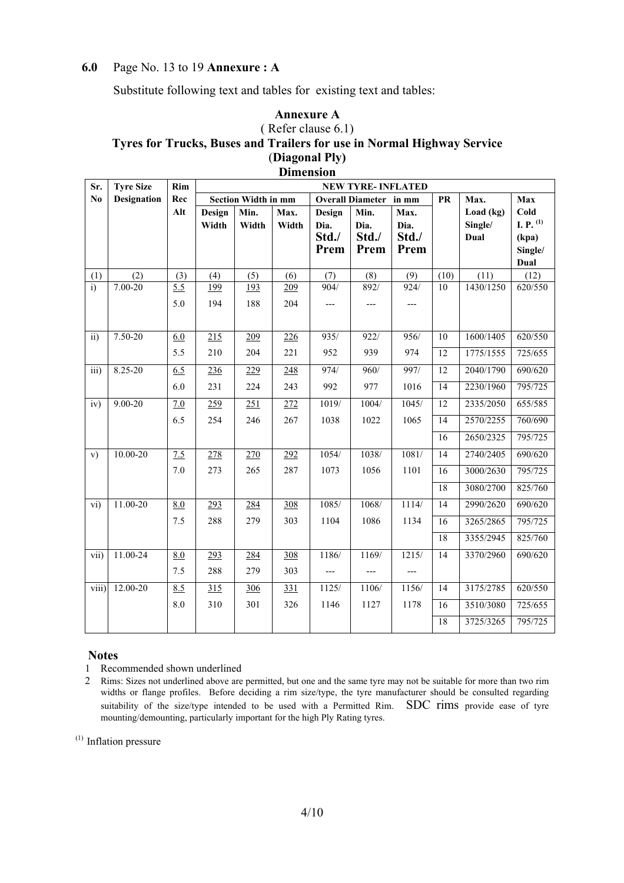# **6.0** Page No. 13 to 19 **Annexure : A**

Substitute following text and tables for existing text and tables:

#### **Annexure A**  ( Refer clause 6.1) **Tyres for Trucks, Buses and Trailers for use in Normal Highway Service**  (**Diagonal Ply) Dimension**

| Sr.               | <b>Tyre Size</b>   | Rim | <b>NEW TYRE-INFLATED</b> |                            |       |        |                        |       |           |           |                |
|-------------------|--------------------|-----|--------------------------|----------------------------|-------|--------|------------------------|-------|-----------|-----------|----------------|
| No                | <b>Designation</b> | Rec |                          | <b>Section Width in mm</b> |       |        | Overall Diameter in mm |       | <b>PR</b> | Max.      | Max            |
|                   |                    | Alt | Design                   | Min.                       | Max.  | Design | Min.                   | Max.  |           | Load (kg) | Cold           |
|                   |                    |     | Width                    | Width                      | Width | Dia.   | Dia.                   | Dia.  |           | Single/   | I. P. $^{(1)}$ |
|                   |                    |     |                          |                            |       | Std./  | Std./                  | Std./ |           | Dual      | (kpa)          |
|                   |                    |     |                          |                            |       | Prem   | Prem                   | Prem  |           |           | Single/        |
|                   |                    |     |                          |                            |       |        |                        |       |           |           | Dual           |
| (1)               | (2)                | (3) | (4)                      | (5)                        | (6)   | (7)    | (8)                    | (9)   | (10)      | (11)      | (12)           |
| $\overline{i}$    | $7.00 - 20$        | 5.5 | 199                      | 193                        | 209   | 904/   | 892/                   | 924/  | 10        | 1430/1250 | 620/550        |
|                   |                    | 5.0 | 194                      | 188                        | 204   |        | ---                    |       |           |           |                |
|                   |                    |     |                          |                            |       |        |                        |       |           |           |                |
| $\overline{ii}$ ) | $7.50 - 20$        | 6.0 | 215                      | 209                        | 226   | 935/   | 922/                   | 956/  | 10        | 1600/1405 | 620/550        |
|                   |                    |     |                          |                            |       |        |                        |       |           |           |                |
|                   |                    | 5.5 | 210                      | 204                        | 221   | 952    | 939                    | 974   | 12        | 1775/1555 | 725/655        |
| iii)              | 8.25-20            | 6.5 | 236                      | 229                        | 248   | 974/   | 960/                   | 997/  | 12        | 2040/1790 | 690/620        |
|                   |                    | 6.0 | 231                      | 224                        | 243   | 992    | 977                    | 1016  | 14        | 2230/1960 | 795/725        |
| iv)               | $9.00 - 20$        | 7.0 | 259                      | 251                        | 272   | 1019/  | 1004/                  | 1045/ | 12        | 2335/2050 | 655/585        |
|                   |                    | 6.5 | 254                      | 246                        | 267   | 1038   | 1022                   | 1065  | 14        | 2570/2255 | 760/690        |
|                   |                    |     |                          |                            |       |        |                        |       | 16        | 2650/2325 | 795/725        |
| $\mathbf{v})$     | 10.00-20           | 7.5 | 278                      | 270                        | 292   | 1054/  | 1038/                  | 1081/ | 14        | 2740/2405 | 690/620        |
|                   |                    | 7.0 | 273                      | 265                        | 287   | 1073   | 1056                   | 1101  | 16        | 3000/2630 | 795/725        |
|                   |                    |     |                          |                            |       |        |                        |       | 18        | 3080/2700 | 825/760        |
| vi)               | 11.00-20           | 8.0 | 293                      | 284                        | 308   | 1085/  | 1068/                  | 1114/ | 14        | 2990/2620 | 690/620        |
|                   |                    | 7.5 | 288                      | 279                        | 303   | 1104   | 1086                   | 1134  | 16        | 3265/2865 | 795/725        |
|                   |                    |     |                          |                            |       |        |                        |       | 18        | 3355/2945 | 825/760        |
| vii)              | 11.00-24           | 8.0 | 293                      | 284                        | 308   | 1186/  | 1169/                  | 1215/ | 14        | 3370/2960 | 690/620        |
|                   |                    | 7.5 | 288                      | 279                        | 303   | ---    | ---                    |       |           |           |                |
| viii)             | 12.00-20           | 8.5 | 315                      | 306                        | 331   | 1125/  | 1106/                  | 1156/ | 14        | 3175/2785 | 620/550        |
|                   |                    | 8.0 | 310                      | 301                        | 326   | 1146   | 1127                   | 1178  | 16        | 3510/3080 | 725/655        |
|                   |                    |     |                          |                            |       |        |                        |       | 18        | 3725/3265 | 795/725        |

#### **Notes**

1 Recommended shown underlined

(1) Inflation pressure

<sup>2</sup> Rims: Sizes not underlined above are permitted, but one and the same tyre may not be suitable for more than two rim widths or flange profiles. Before deciding a rim size/type, the tyre manufacturer should be consulted regarding suitability of the size/type intended to be used with a Permitted Rim. SDC rims provide ease of tyre mounting/demounting, particularly important for the high Ply Rating tyres.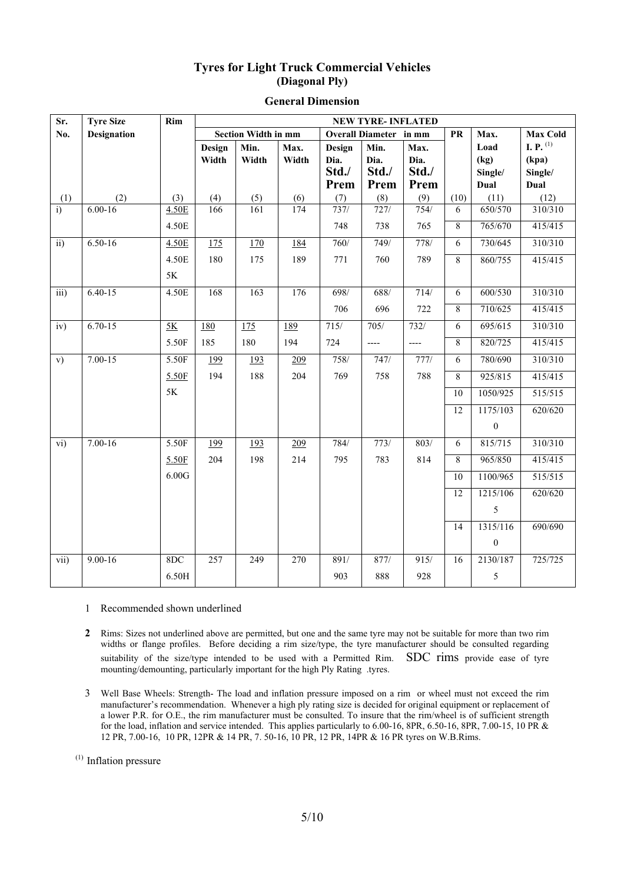#### **Tyres for Light Truck Commercial Vehicles (Diagonal Ply)**

| Sr.              | <b>Tyre Size</b>   | Rim   | <b>NEW TYRE-INFLATED</b> |                            |       |        |                               |       |                 |                  |                 |
|------------------|--------------------|-------|--------------------------|----------------------------|-------|--------|-------------------------------|-------|-----------------|------------------|-----------------|
| No.              | <b>Designation</b> |       |                          | <b>Section Width in mm</b> |       |        | <b>Overall Diameter</b> in mm |       | ${\bf PR}$      | Max.             | <b>Max Cold</b> |
|                  |                    |       | Design                   | Min.                       | Max.  | Design | Min.                          | Max.  |                 | Load             | I. P. $^{(1)}$  |
|                  |                    |       | Width                    | Width                      | Width | Dia.   | Dia.                          | Dia.  |                 | (kg)             | (kpa)           |
|                  |                    |       |                          |                            |       | Std./  | Std./                         | Std./ |                 | Single/          | Single/         |
|                  |                    |       |                          |                            |       | Prem   | Prem                          | Prem  |                 | Dual             | Dual            |
| (1)              | (2)                | (3)   | (4)                      | (5)                        | (6)   | (7)    | (8)                           | (9)   | (10)            | (11)             | (12)            |
| $\ddot{1}$       | $6.00 - 16$        | 4.50E | 166                      | 161                        | 174   | 737/   | 727/                          | 754/  | 6               | 650/570          | 310/310         |
|                  |                    | 4.50E |                          |                            |       | 748    | 738                           | 765   | 8               | 765/670          | 415/415         |
| $\overline{ii}$  | $6.50 - 16$        | 4.50E | $\frac{175}{1}$          | 170                        | 184   | 760/   | 749/                          | 778/  | 6               | 730/645          | 310/310         |
|                  |                    | 4.50E | 180                      | 175                        | 189   | 771    | 760                           | 789   | 8               | 860/755          | 415/415         |
|                  |                    | 5K    |                          |                            |       |        |                               |       |                 |                  |                 |
| $\overline{iii}$ | $6.40 - 15$        | 4.50E | 168                      | 163                        | 176   | 698/   | 688/                          | 714/  | 6               | 600/530          | 310/310         |
|                  |                    |       |                          |                            |       | 706    | 696                           | 722   | 8               | 710/625          | 415/415         |
| iv)              | $6.70 - 15$        | 5K    | 180                      | 175                        | 189   | 715/   | $705/$                        | 732/  | 6               | 695/615          | 310/310         |
|                  |                    | 5.50F | 185                      | 180                        | 194   | 724    | $---$                         | $---$ | 8               | 820/725          | 415/415         |
| V)               | $7.00 - 15$        | 5.50F | 199                      | 193                        | 209   | 758/   | 747/                          | 777/  | 6               | 780/690          | 310/310         |
|                  |                    | 5.50F | 194                      | 188                        | 204   | 769    | 758                           | 788   | 8               | 925/815          | 415/415         |
|                  |                    | 5K    |                          |                            |       |        |                               |       | 10              | 1050/925         | 515/515         |
|                  |                    |       |                          |                            |       |        |                               |       | $\overline{12}$ | 1175/103         | 620/620         |
|                  |                    |       |                          |                            |       |        |                               |       |                 | $\boldsymbol{0}$ |                 |
| $\overline{vi}$  | $7.00 - 16$        | 5.50F | 199                      | 193                        | 209   | 784/   | 773/                          | 803/  | 6               | 815/715          | 310/310         |
|                  |                    | 5.50F | 204                      | 198                        | 214   | 795    | 783                           | 814   | 8               | 965/850          | 415/415         |
|                  |                    | 6.00G |                          |                            |       |        |                               |       | 10              | 1100/965         | 515/515         |
|                  |                    |       |                          |                            |       |        |                               |       | 12              | 1215/106         | 620/620         |
|                  |                    |       |                          |                            |       |        |                               |       |                 | 5                |                 |
|                  |                    |       |                          |                            |       |        |                               |       | 14              | 1315/116         | 690/690         |
|                  |                    |       |                          |                            |       |        |                               |       |                 | $\boldsymbol{0}$ |                 |
| vii)             | $9.00 - 16$        | 8DC   | 257                      | 249                        | 270   | 891/   | 877/                          | 915/  | 16              | 2130/187         | 725/725         |
|                  |                    | 6.50H |                          |                            |       | 903    | 888                           | 928   |                 | 5                |                 |

#### **General Dimension**

1 Recommended shown underlined

**2** Rims: Sizes not underlined above are permitted, but one and the same tyre may not be suitable for more than two rim widths or flange profiles. Before deciding a rim size/type, the tyre manufacturer should be consulted regarding suitability of the size/type intended to be used with a Permitted Rim. SDC rims provide ease of tyre mounting/demounting, particularly important for the high Ply Rating .tyres.

3 Well Base Wheels: Strength- The load and inflation pressure imposed on a rim or wheel must not exceed the rim manufacturer's recommendation. Whenever a high ply rating size is decided for original equipment or replacement of a lower P.R. for O.E., the rim manufacturer must be consulted. To insure that the rim/wheel is of sufficient strength for the load, inflation and service intended. This applies particularly to 6.00-16, 8PR, 6.50-16, 8PR, 7.00-15, 10 PR & 12 PR, 7.00-16, 10 PR, 12PR & 14 PR, 7. 50-16, 10 PR, 12 PR, 14PR & 16 PR tyres on W.B.Rims.

(1) Inflation pressure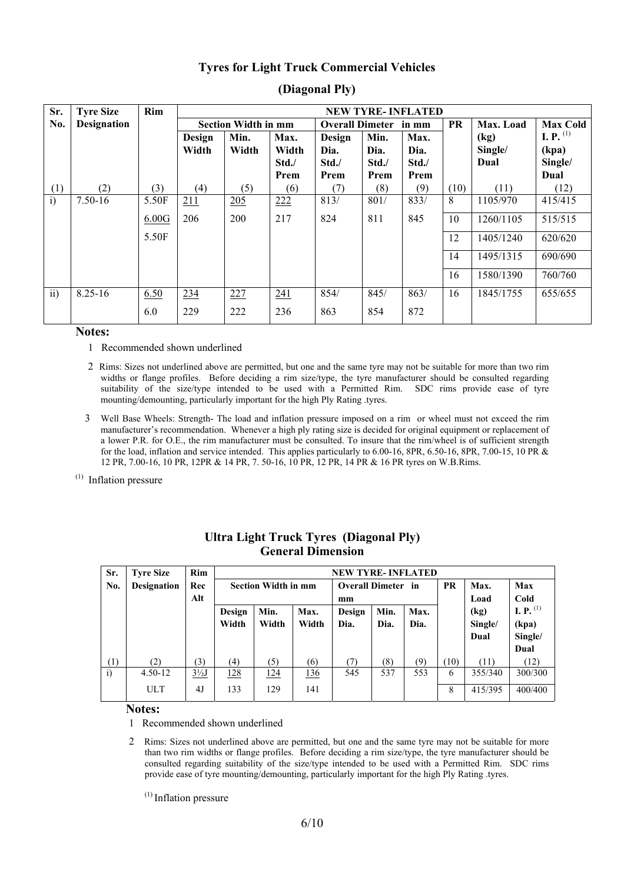#### **Tyres for Light Truck Commercial Vehicles**

| Sr.             | <b>Tyre Size</b>   | Rim   |        |                            |       |                        |       | <b>NEW TYRE-INFLATED</b> |           |           |                    |
|-----------------|--------------------|-------|--------|----------------------------|-------|------------------------|-------|--------------------------|-----------|-----------|--------------------|
| No.             | <b>Designation</b> |       |        | <b>Section Width in mm</b> |       | <b>Overall Dimeter</b> |       | in mm                    | <b>PR</b> | Max. Load | <b>Max Cold</b>    |
|                 |                    |       | Design | Min.                       | Max.  | Design                 | Min.  | Max.                     |           | (kg)      | <b>I.</b> P. $(1)$ |
|                 |                    |       | Width  | Width                      | Width | Dia.                   | Dia.  | Dia.                     |           | Single/   | (kpa)              |
|                 |                    |       |        |                            | Std./ | Std./                  | Std./ | Std./                    |           | Dual      | Single/            |
|                 |                    |       |        |                            | Prem  | Prem                   | Prem  | Prem                     |           |           | Dual               |
| (1)             | (2)                | (3)   | (4)    | (5)                        | (6)   | (7)                    | (8)   | (9)                      | (10)      | (11)      | (12)               |
| i)              | 7.50-16            | 5.50F | 211    | 205                        | 222   | 813/                   | 801/  | 833/                     | 8         | 1105/970  | 415/415            |
|                 |                    | 6.00G | 206    | 200                        | 217   | 824                    | 811   | 845                      | 10        | 1260/1105 | 515/515            |
|                 |                    | 5.50F |        |                            |       |                        |       |                          | 12        | 1405/1240 | 620/620            |
|                 |                    |       |        |                            |       |                        |       |                          | 14        | 1495/1315 | 690/690            |
|                 |                    |       |        |                            |       |                        |       |                          | 16        | 1580/1390 | 760/760            |
| $\overline{11}$ | $8.25 - 16$        | 6.50  | 234    | 227                        | 241   | 854/                   | 845/  | 863/                     | 16        | 1845/1755 | 655/655            |
|                 |                    | 6.0   | 229    | 222                        | 236   | 863                    | 854   | 872                      |           |           |                    |

### **(Diagonal Ply)**

#### **Notes:**

- 1 Recommended shown underlined
- 2 Rims: Sizes not underlined above are permitted, but one and the same tyre may not be suitable for more than two rim widths or flange profiles. Before deciding a rim size/type, the tyre manufacturer should be consulted regarding suitability of the size/type intended to be used with a Permitted Rim. SDC rims provide ease of tyre mounting/demounting, particularly important for the high Ply Rating .tyres.
- 3 Well Base Wheels: Strength- The load and inflation pressure imposed on a rim or wheel must not exceed the rim manufacturer's recommendation. Whenever a high ply rating size is decided for original equipment or replacement of a lower P.R. for O.E., the rim manufacturer must be consulted. To insure that the rim/wheel is of sufficient strength for the load, inflation and service intended. This applies particularly to 6.00-16, 8PR, 6.50-16, 8PR, 7.00-15, 10 PR & 12 PR, 7.00-16, 10 PR, 12PR & 14 PR, 7. 50-16, 10 PR, 12 PR, 14 PR & 16 PR tyres on W.B.Rims.
- (1) Inflation pressure

| Sr.          | <b>Tyre Size</b>   | Rim            |             | <b>NEW TYRE-INFLATED</b>   |       |                           |                  |      |           |         |                       |  |  |
|--------------|--------------------|----------------|-------------|----------------------------|-------|---------------------------|------------------|------|-----------|---------|-----------------------|--|--|
| No.          | <b>Designation</b> | Rec            |             | <b>Section Width in mm</b> |       | <b>Overall Dimeter</b> in |                  |      | <b>PR</b> | Max.    | Max                   |  |  |
|              |                    | Alt            |             |                            |       | mm                        |                  |      |           | Load    | Cold                  |  |  |
|              |                    |                | Design      | Min.<br>Max.               |       |                           | Min.             | Max. |           | (kg)    | <b>I.</b> P. $^{(1)}$ |  |  |
|              |                    |                | Width       | Width                      | Width | Dia.                      | Dia.             | Dia. |           | Single/ | (kpa)                 |  |  |
|              |                    |                |             |                            |       |                           |                  |      |           | Dual    | Single/               |  |  |
|              |                    |                |             |                            |       |                           |                  |      |           |         | Dual                  |  |  |
| (1)          | (2)                | (3)            | (4)         | (5)                        | (6)   | (7)                       | $\left(8\right)$ | (9)  | 10)       | (11)    | (12)                  |  |  |
| $\mathbf{i}$ | $4.50 - 12$        | $3\frac{1}{2}$ | <u> 128</u> | <u> 124</u>                | 136   | 545                       | 537              | 553  | 6         | 355/340 | 300/300               |  |  |
|              | <b>ULT</b>         | 4 <sub>J</sub> | 133         | 129                        | 141   |                           |                  |      | 8         | 415/395 | 400/400               |  |  |

#### **Ultra Light Truck Tyres (Diagonal Ply) General Dimension**

#### **Notes:**

1 Recommended shown underlined

2 Rims: Sizes not underlined above are permitted, but one and the same tyre may not be suitable for more than two rim widths or flange profiles. Before deciding a rim size/type, the tyre manufacturer should be consulted regarding suitability of the size/type intended to be used with a Permitted Rim. SDC rims provide ease of tyre mounting/demounting, particularly important for the high Ply Rating .tyres.

 $<sup>(1)</sup>$  Inflation pressure</sup>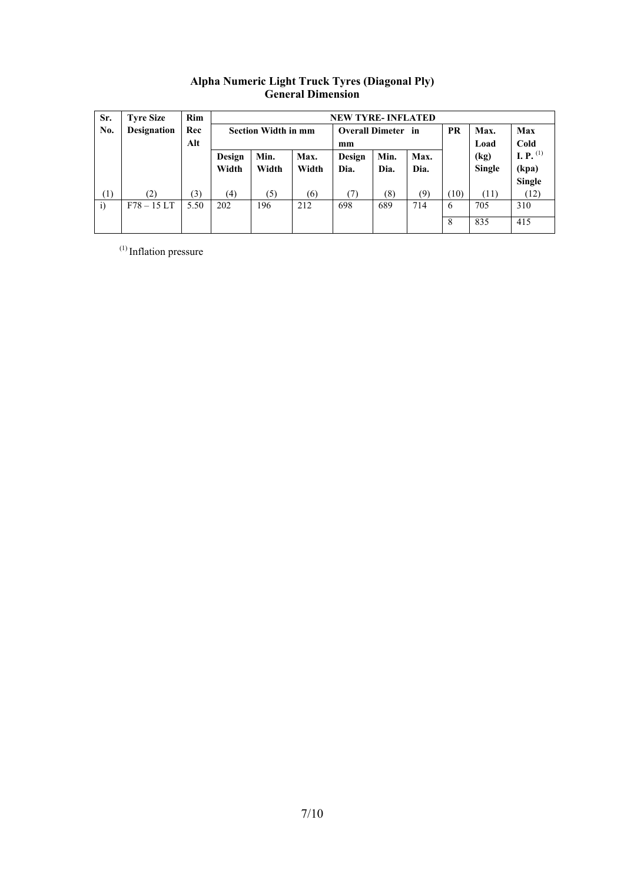| Sr.        | <b>Tyre Size</b>   | <b>Rim</b> |        | <b>NEW TYRE-INFLATED</b>   |       |                           |      |      |           |               |                |  |  |
|------------|--------------------|------------|--------|----------------------------|-------|---------------------------|------|------|-----------|---------------|----------------|--|--|
| No.        | <b>Designation</b> | Rec        |        | <b>Section Width in mm</b> |       | <b>Overall Dimeter</b> in |      |      | <b>PR</b> | Max.          | Max            |  |  |
|            |                    | Alt        |        |                            |       | mm                        |      |      |           | Load          | Cold           |  |  |
|            |                    |            | Design | Min.                       | Max.  | Design                    | Min. | Max. |           | (kg)          | I. P. $^{(1)}$ |  |  |
|            |                    |            | Width  | Width                      | Width | Dia.                      | Dia. | Dia. |           | <b>Single</b> | (kpa)          |  |  |
|            |                    |            |        |                            |       |                           |      |      |           |               | <b>Single</b>  |  |  |
| (1)        | (2)                | (3)        | (4)    | (5)                        | (6)   | (7)                       | (8)  | (9)  | (10)      | (11)          | (12)           |  |  |
| $\ddot{1}$ | $F78 - 15LT$       | 5.50       | 202    | 196                        | 212   | 698                       | 689  | 714  | 6         | 705           | 310            |  |  |
|            |                    |            |        |                            |       |                           |      |      | 8         | 835           | 415            |  |  |

#### **Alpha Numeric Light Truck Tyres (Diagonal Ply) General Dimension**

(1) Inflation pressure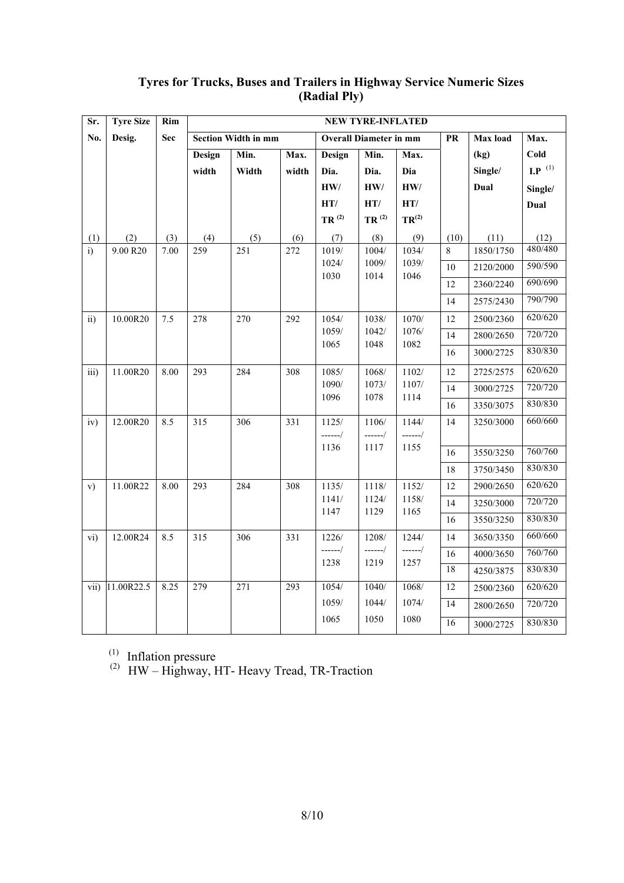| Sr.           | <b>Tyre Size</b> | Rim  | <b>NEW TYRE-INFLATED</b> |                            |       |                               |                   |                   |           |                 |                     |
|---------------|------------------|------|--------------------------|----------------------------|-------|-------------------------------|-------------------|-------------------|-----------|-----------------|---------------------|
| No.           | Desig.           | Sec  |                          | <b>Section Width in mm</b> |       | <b>Overall Diameter in mm</b> |                   |                   | <b>PR</b> | <b>Max</b> load | Max.                |
|               |                  |      | Design                   | Min.                       | Max.  | Design                        | Min.              | Max.              |           | (kg)            | Cold                |
|               |                  |      | width                    | Width                      | width | Dia.                          | Dia.              | Dia               |           | Single/         | $\mathbf{LP}^{(1)}$ |
|               |                  |      |                          |                            |       | $\mathbf{HW}/$                | $\mathbf{HW}/$    | HW/               |           | Dual            | Single/             |
|               |                  |      |                          |                            |       | HT/                           | HT/               | HT/               |           |                 | Dual                |
|               |                  |      |                          |                            |       | $TR$ $^{(2)}$                 | TR <sup>(2)</sup> | TR <sup>(2)</sup> |           |                 |                     |
| (1)           | (2)              | (3)  | (4)                      | (5)                        | (6)   | (7)                           | (8)               | (9)               | (10)      | (11)            | (12)                |
| i)            | 9.00 R20         | 7.00 | 259                      | 251                        | 272   | 1019/                         | 1004/             | 1034/             | 8         | 1850/1750       | 480/480             |
|               |                  |      |                          |                            |       | 1024/<br>1030                 | 1009/             | 1039/             | 10        | 2120/2000       | 590/590             |
|               |                  |      |                          |                            |       |                               | 1014              | 1046              | 12        | 2360/2240       | 690/690             |
|               |                  |      |                          |                            |       |                               |                   |                   | 14        | 2575/2430       | 790/790             |
| $\mathbf{ii}$ | 10.00R20         | 7.5  | 278                      | 270                        | 292   | 1054/                         | 1038/             | 1070/             | 12        | 2500/2360       | 620/620             |
|               |                  |      |                          |                            |       | 1059/                         | 1042/             | 1076/             | 14        | 2800/2650       | 720/720             |
|               |                  |      |                          |                            |       | 1065                          | 1048              | 1082              | 16        | 3000/2725       | 830/830             |
| iii)          | 11.00R20         | 8.00 | 293                      | 284                        | 308   | 1085/                         | 1068/             | 1102/             | 12        | 2725/2575       | 620/620             |
|               |                  |      |                          |                            |       | 1090/                         | 1073/             | 1107/             | 14        | 3000/2725       | 720/720             |
|               |                  |      |                          |                            |       | 1096                          | 1078              | 1114              | 16        | 3350/3075       | 830/830             |
| iv)           | 12.00R20         | 8.5  | 315                      | 306                        | 331   | 1125/                         | 1106/             | 1144/             | 14        | 3250/3000       | 660/660             |
|               |                  |      |                          |                            |       | $-----/$                      | ------/           | $-----/$          |           |                 |                     |
|               |                  |      |                          |                            |       | 1136                          | 1117              | 1155              | 16        | 3550/3250       | 760/760             |
|               |                  |      |                          |                            |       |                               |                   |                   | 18        | 3750/3450       | 830/830             |
| V)            | 11.00R22         | 8.00 | 293                      | 284                        | 308   | 1135/                         | 1118/             | 1152/             | 12        | 2900/2650       | 620/620             |
|               |                  |      |                          |                            |       | 1141/                         | 1124/             | 1158/             | 14        | 3250/3000       | 720/720             |
|               |                  |      |                          |                            |       | 1147                          | 1129              | 1165              | 16        | 3550/3250       | 830/830             |
| vi)           | 12.00R24         | 8.5  | 315                      | 306                        | 331   | 1226/                         | 1208/             | 1244/             | 14        | 3650/3350       | 660/660             |
|               |                  |      |                          |                            |       | ------/                       | ------/           | ------/           | 16        | 4000/3650       | 760/760             |
|               |                  |      |                          |                            |       | 1238                          | 1219              | 1257              | 18        | 4250/3875       | 830/830             |
| vii)          | 11.00R22.5       | 8.25 | 279                      | 271                        | 293   | 1054/                         | 1040/             | 1068/             | 12        | 2500/2360       | 620/620             |
|               |                  |      |                          |                            |       | 1059/                         | 1044/             | 1074/             | 14        | 2800/2650       | 720/720             |
|               |                  |      |                          |                            |       | 1065                          | 1050              | 1080              | 16        | 3000/2725       | 830/830             |

# **Tyres for Trucks, Buses and Trailers in Highway Service Numeric Sizes (Radial Ply)**

(1) Inflation pressure

<sup>(2)</sup> HW – Highway, HT- Heavy Tread, TR-Traction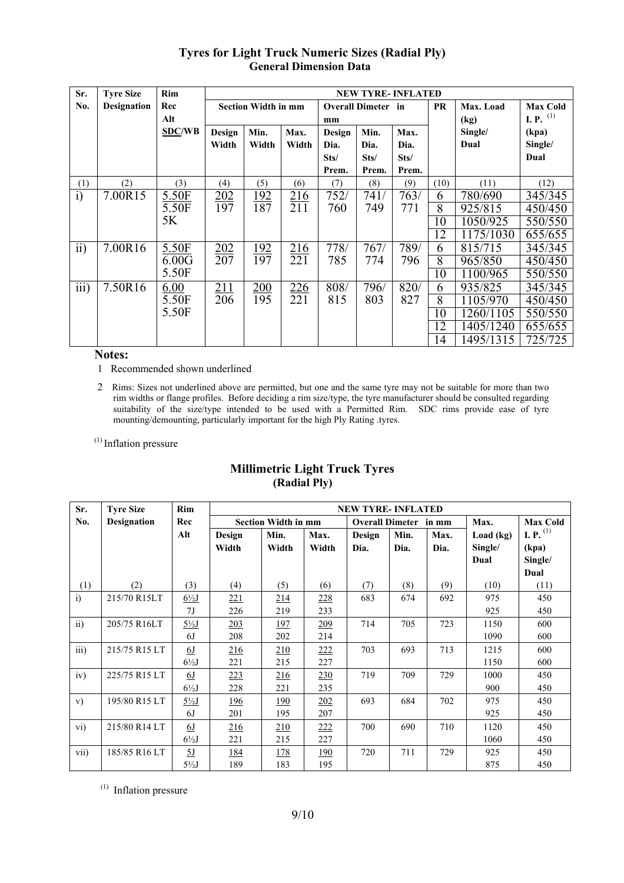#### **NEW TYRE- INFLATED Section Width in mm Overall Dimeter in mm Sr. No. Tyre Size Designation Rim Rec Alt SDC/WB Design Width Min. Width Max. Width Design Dia. Sts/ Prem. Min. Dia. Sts/ Prem. Max. Dia. Sts/ Prem. PR Max. Load (kg) Single/ Dual Max Cold I. P.** (1) **(kpa) Single/ Dual**  $(1)$   $(2)$   $(3)$   $(4)$   $(5)$   $(6)$   $(7)$   $(8)$   $(9)$   $(10)$   $(11)$   $(12)$  6 780/690 345/345 8 925/815 450/450 10 1050/925 550/550<br>12 1175/1030 655/655 i) 7.00R15 5.50F 5.50F 5K 202 197 192 187 216 211 752/ 760 741/ 749 763/ 771 1175/1030 655/655<br>815/715 345/345  $\frac{6}{8}$  815/715 345/345<br>8 965/850 450/450 965/850 ii)  $7.00R16$  5.50F 6.00G 5.50F 202 207 192 197 216 221 778/ 785 767/ 774 789/ 796 10 1100/965 550/550<br>6 935/825 345/345 6 935/825 8 | 1105/970 | 450/450 10 1260/1105 550/550 12 1405/1240 655/655<br>14 1495/1315 725/725 iii)  $7.50R16$  6.00 5.50F 5.50F 211 206 200 195 226 221 808/ 815 796/ 803 820/ 827 14 95 / 1315 725 / 725

# **Tyres for Light Truck Numeric Sizes (Radial Ply) General Dimension Data**

**Notes:** 

1 Recommended shown underlined

 2 Rims: Sizes not underlined above are permitted, but one and the same tyre may not be suitable for more than two rim widths or flange profiles. Before deciding a rim size/type, the tyre manufacturer should be consulted regarding suitability of the size/type intended to be used with a Permitted Rim. SDC rims provide ease of tyre mounting/demounting, particularly important for the high Ply Rating .tyres.

(1) Inflation pressure

| Sr.               | <b>Tyre Size</b>   | Rim              | <b>NEW TYRE-INFLATED</b> |                            |             |        |                        |       |           |                       |  |
|-------------------|--------------------|------------------|--------------------------|----------------------------|-------------|--------|------------------------|-------|-----------|-----------------------|--|
| No.               | <b>Designation</b> | Rec              |                          | <b>Section Width in mm</b> |             |        | <b>Overall Dimeter</b> | in mm | Max.      | <b>Max Cold</b>       |  |
|                   |                    | Alt              | Design                   | Min.                       | Max.        | Design | Min.                   | Max.  | Load (kg) | <b>I.</b> P. $^{(1)}$ |  |
|                   |                    |                  | Width                    | Width                      | Width       | Dia.   | Dia.                   | Dia.  | Single/   | (kpa)                 |  |
|                   |                    |                  |                          |                            |             |        |                        |       | Dual      | Single/               |  |
|                   |                    |                  |                          |                            |             |        |                        |       |           | Dual                  |  |
| (1)               | (2)                | (3)              | (4)                      | (5)                        | (6)         | (7)    | (8)                    | (9)   | (10)      | (11)                  |  |
| i)                | 215/70 R15LT       | $6\frac{1}{2}$   | 221                      | 214                        | 228         | 683    | 674                    | 692   | 975       | 450                   |  |
|                   |                    | 7 <sub>J</sub>   | 226                      | 219                        | 233         |        |                        |       | 925       | 450                   |  |
| $\overline{ii}$ ) | 205/75 R16LT       | $5\frac{1}{2}$   | 203                      | <u> 197</u>                | 209         | 714    | 705                    | 723   | 1150      | 600                   |  |
|                   |                    | 6J               | 208                      | 202                        | 214         |        |                        |       | 1090      | 600                   |  |
| iii)              | 215/75 R15 LT      | <u>6J</u>        | <u>216</u>               | 210                        | 222         | 703    | 693                    | 713   | 1215      | 600                   |  |
|                   |                    | $6\frac{1}{2}$ J | 221                      | 215                        | 227         |        |                        |       | 1150      | 600                   |  |
| iv)               | 225/75 R15 LT      | <u>6J</u>        | 223                      | 216                        | 230         | 719    | 709                    | 729   | 1000      | 450                   |  |
|                   |                    | $6\frac{1}{2}$ J | 228                      | 221                        | 235         |        |                        |       | 900       | 450                   |  |
| V)                | 195/80 R15 LT      | $5\frac{1}{2}$   | 196                      | <u>190</u>                 | 202         | 693    | 684                    | 702   | 975       | 450                   |  |
|                   |                    | 6J               | 201                      | 195                        | 207         |        |                        |       | 925       | 450                   |  |
| vi)               | 215/80 R14 LT      | <u>6J</u>        | 216                      | 210                        | 222         | 700    | 690                    | 710   | 1120      | 450                   |  |
|                   |                    | $6\frac{1}{2}$   | 221                      | 215                        | 227         |        |                        |       | 1060      | 450                   |  |
| vii)              | 185/85 R16 LT      | <u>5J</u>        | <u>184</u>               | <u>178</u>                 | <u> 190</u> | 720    | 711                    | 729   | 925       | 450                   |  |
|                   |                    | $5\frac{1}{2}$ J | 189                      | 183                        | 195         |        |                        |       | 875       | 450                   |  |

### **Millimetric Light Truck Tyres (Radial Ply)**

(1) Inflation pressure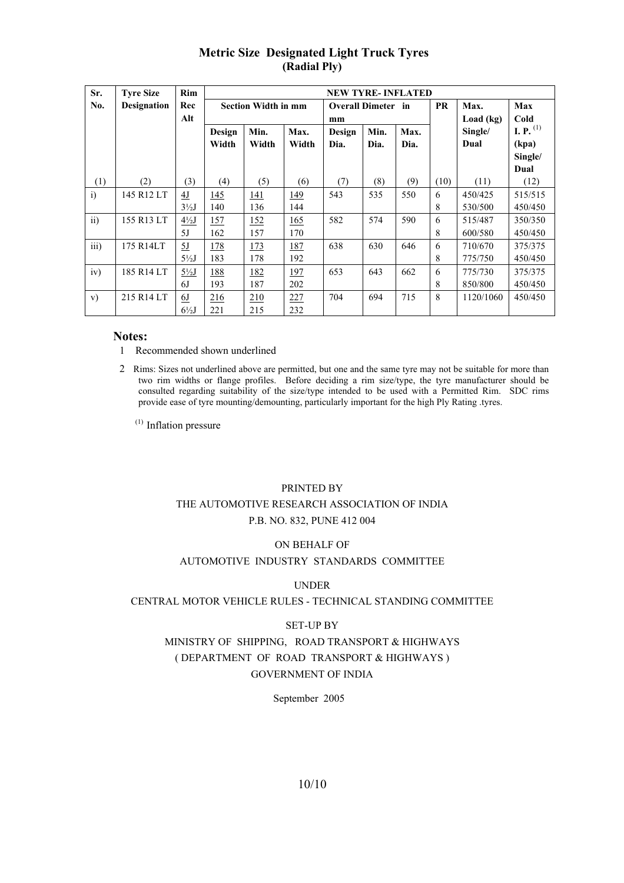| Sr.             | <b>Tyre Size</b>   | Rim              |             |                            |       | <b>NEW TYRE-INFLATED</b>  |      |           |           |           |                    |
|-----------------|--------------------|------------------|-------------|----------------------------|-------|---------------------------|------|-----------|-----------|-----------|--------------------|
| No.             | <b>Designation</b> | Rec              |             | <b>Section Width in mm</b> |       | <b>Overall Dimeter</b> in |      |           | <b>PR</b> | Max.      | Max                |
|                 |                    | Alt              | mm          |                            |       |                           |      | Load (kg) | Cold      |           |                    |
|                 |                    |                  | Design      | Min.                       | Max.  | Design                    | Min. | Max.      |           | Single/   | <b>I.</b> P. $(1)$ |
|                 |                    |                  | Width       | Width                      | Width | Dia.                      | Dia. | Dia.      |           | Dual      | (kpa)              |
|                 |                    |                  |             |                            |       |                           |      |           |           |           | Single/            |
|                 |                    |                  |             |                            |       |                           |      |           |           |           | Dual               |
| (1)             | (2)                | (3)              | (4)         | (5)                        | (6)   | (7)                       | (8)  | (9)       | (10)      | (11)      | (12)               |
| i)              | 145 R12 LT         | 4J               | 145         | <u> 141</u>                | 149   | 543                       | 535  | 550       | 6         | 450/425   | 515/515            |
|                 |                    | $3\frac{1}{2}$ J | 140         | 136                        | 144   |                           |      |           | 8         | 530/500   | 450/450            |
| $\overline{ii}$ | 155 R13 LT         | $4\frac{1}{2}$   | <u> 157</u> | 152                        | 165   | 582                       | 574  | 590       | 6         | 515/487   | 350/350            |
|                 |                    | 5J               | 162         | 157                        | 170   |                           |      |           | 8         | 600/580   | 450/450            |
| iii)            | 175 R14LT          | 5J               | 178         | <u> 173</u>                | 187   | 638                       | 630  | 646       | 6         | 710/670   | 375/375            |
|                 |                    | $5\frac{1}{2}$ J | 183         | 178                        | 192   |                           |      |           | 8         | 775/750   | 450/450            |
| iv)             | 185 R14 LT         | $5\frac{1}{2}$   | 188         | 182                        | 197   | 653                       | 643  | 662       | 6         | 775/730   | 375/375            |
|                 |                    | 6J               | 193         | 187                        | 202   |                           |      |           | 8         | 850/800   | 450/450            |
| V)              | 215 R14 LT         | <u>6J</u>        | 216         | 210                        | 227   | 704                       | 694  | 715       | 8         | 1120/1060 | 450/450            |
|                 |                    | $6\frac{1}{2}$ J | 221         | 215                        | 232   |                           |      |           |           |           |                    |

# **Metric Size Designated Light Truck Tyres (Radial Ply)**

#### **Notes:**

- 1 Recommended shown underlined
- 2 Rims: Sizes not underlined above are permitted, but one and the same tyre may not be suitable for more than two rim widths or flange profiles. Before deciding a rim size/type, the tyre manufacturer should be consulted regarding suitability of the size/type intended to be used with a Permitted Rim. SDC rims provide ease of tyre mounting/demounting, particularly important for the high Ply Rating .tyres.

(1) Inflation pressure

#### PRINTED BY

#### THE AUTOMOTIVE RESEARCH ASSOCIATION OF INDIA P.B. NO. 832, PUNE 412 004

#### ON BEHALF OF

#### AUTOMOTIVE INDUSTRY STANDARDS COMMITTEE

#### UNDER

#### CENTRAL MOTOR VEHICLE RULES - TECHNICAL STANDING COMMITTEE

#### SET-UP BY

# MINISTRY OF SHIPPING, ROAD TRANSPORT & HIGHWAYS ( DEPARTMENT OF ROAD TRANSPORT & HIGHWAYS ) GOVERNMENT OF INDIA

#### September 2005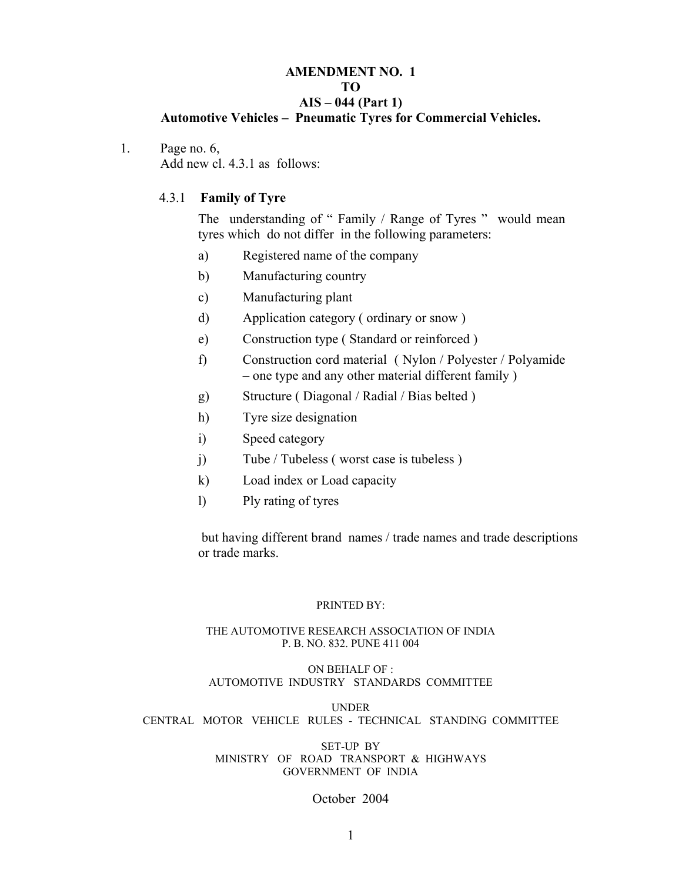#### **AMENDMENT NO. 1 TO AIS – 044 (Part 1) Automotive Vehicles – Pneumatic Tyres for Commercial Vehicles.**

1. Page no. 6, Add new cl. 4.3.1 as follows:

#### 4.3.1 **Family of Tyre**

The understanding of " Family / Range of Tyres " would mean tyres which do not differ in the following parameters:

- a) Registered name of the company
- b) Manufacturing country
- c) Manufacturing plant
- d) Application category ( ordinary or snow )
- e) Construction type ( Standard or reinforced )
- f) Construction cord material ( Nylon / Polyester / Polyamide – one type and any other material different family )
- g) Structure ( Diagonal / Radial / Bias belted )
- h) Tyre size designation
- i) Speed category
- j) Tube / Tubeless (worst case is tubeless)
- k) Load index or Load capacity
- l) Ply rating of tyres

 but having different brand names / trade names and trade descriptions or trade marks.

#### PRINTED BY:

#### THE AUTOMOTIVE RESEARCH ASSOCIATION OF INDIA P. B. NO. 832. PUNE 411 004

#### ON BEHALF OF : AUTOMOTIVE INDUSTRY STANDARDS COMMITTEE

UNDER CENTRAL MOTOR VEHICLE RULES - TECHNICAL STANDING COMMITTEE

#### SET-UP BY MINISTRY OF ROAD TRANSPORT & HIGHWAYS GOVERNMENT OF INDIA

# October 2004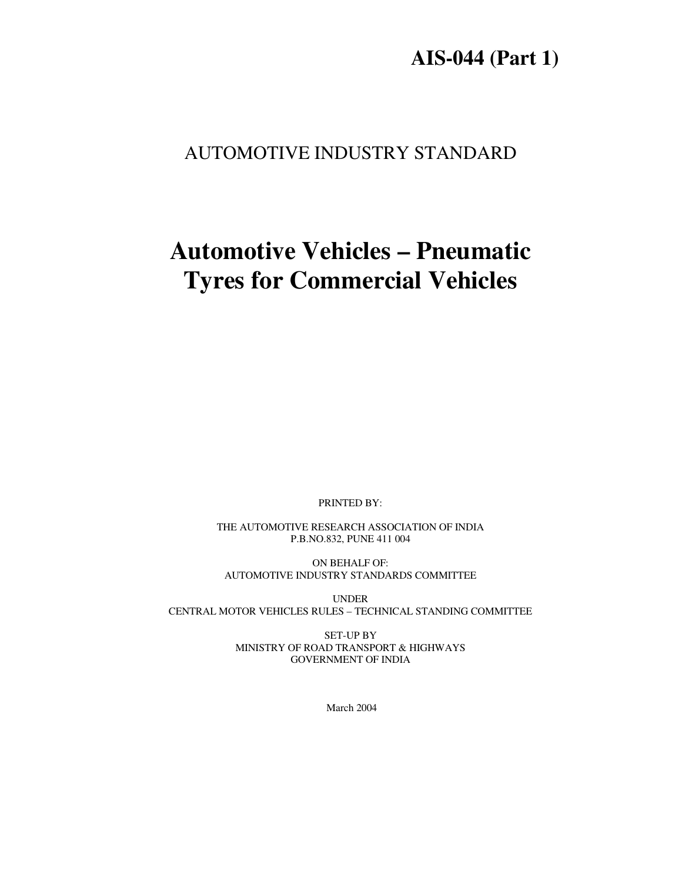# **AIS-044 (Part 1)**

# AUTOMOTIVE INDUSTRY STANDARD

# **Automotive Vehicles – Pneumatic Tyres for Commercial Vehicles**

PRINTED BY:

THE AUTOMOTIVE RESEARCH ASSOCIATION OF INDIA P.B.NO.832, PUNE 411 004

ON BEHALF OF: AUTOMOTIVE INDUSTRY STANDARDS COMMITTEE

UNDER CENTRAL MOTOR VEHICLES RULES – TECHNICAL STANDING COMMITTEE

> SET-UP BY MINISTRY OF ROAD TRANSPORT & HIGHWAYS GOVERNMENT OF INDIA

> > March 2004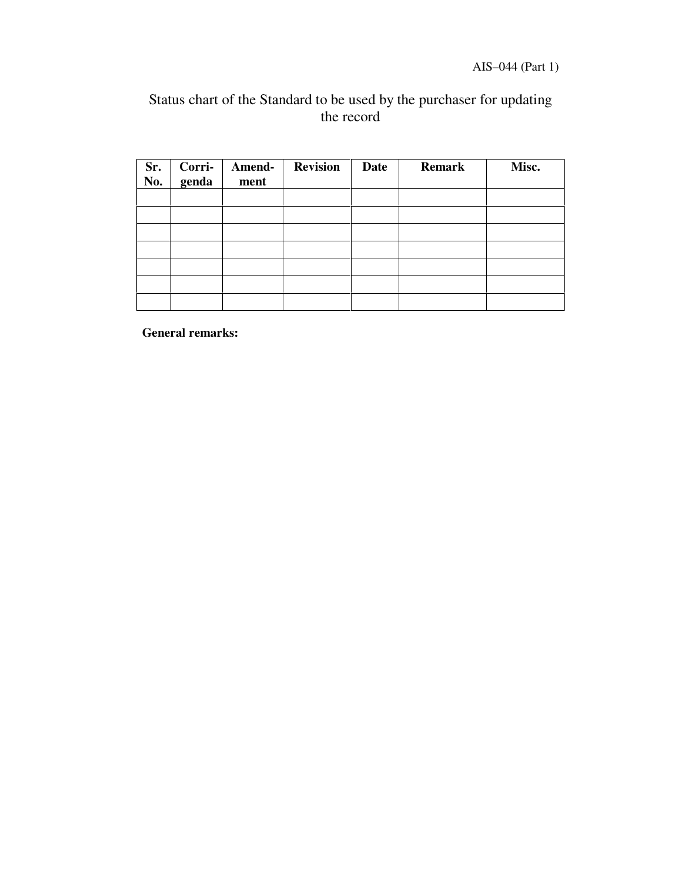AIS–044 (Part 1)

# Status chart of the Standard to be used by the purchaser for updating the record

| Sr.<br>No. | Corri-<br>genda | Amend-<br>ment | <b>Revision</b> | <b>Date</b> | <b>Remark</b> | Misc. |
|------------|-----------------|----------------|-----------------|-------------|---------------|-------|
|            |                 |                |                 |             |               |       |
|            |                 |                |                 |             |               |       |
|            |                 |                |                 |             |               |       |
|            |                 |                |                 |             |               |       |
|            |                 |                |                 |             |               |       |
|            |                 |                |                 |             |               |       |
|            |                 |                |                 |             |               |       |

**General remarks:**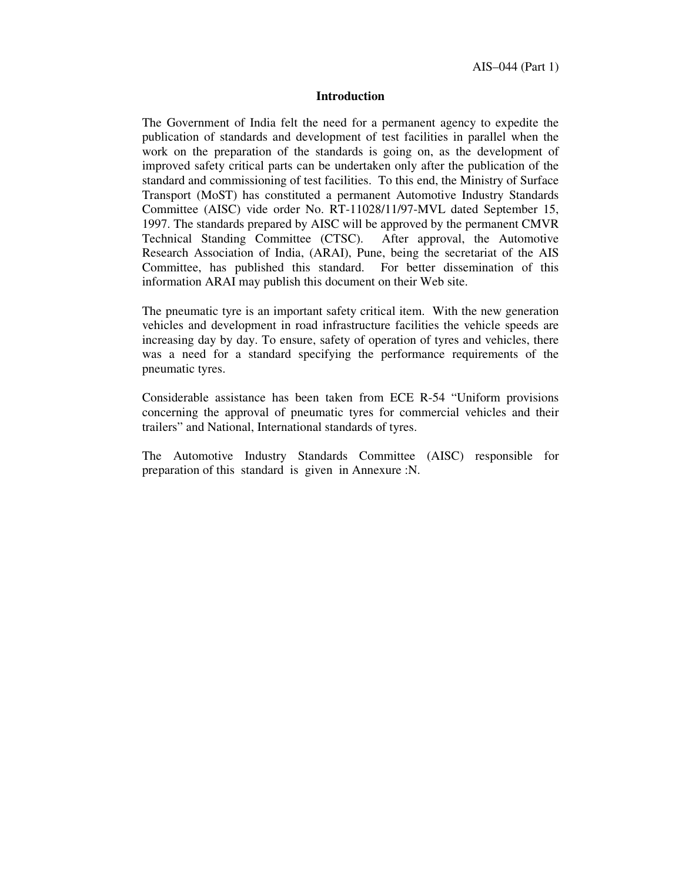#### **Introduction**

The Government of India felt the need for a permanent agency to expedite the publication of standards and development of test facilities in parallel when the work on the preparation of the standards is going on, as the development of improved safety critical parts can be undertaken only after the publication of the standard and commissioning of test facilities. To this end, the Ministry of Surface Transport (MoST) has constituted a permanent Automotive Industry Standards Committee (AISC) vide order No. RT-11028/11/97-MVL dated September 15, 1997. The standards prepared by AISC will be approved by the permanent CMVR Technical Standing Committee (CTSC). After approval, the Automotive Research Association of India, (ARAI), Pune, being the secretariat of the AIS Committee, has published this standard. For better dissemination of this information ARAI may publish this document on their Web site.

The pneumatic tyre is an important safety critical item. With the new generation vehicles and development in road infrastructure facilities the vehicle speeds are increasing day by day. To ensure, safety of operation of tyres and vehicles, there was a need for a standard specifying the performance requirements of the pneumatic tyres.

Considerable assistance has been taken from ECE R-54 "Uniform provisions concerning the approval of pneumatic tyres for commercial vehicles and their trailers" and National, International standards of tyres.

The Automotive Industry Standards Committee (AISC) responsible for preparation of this standard is given in Annexure :N.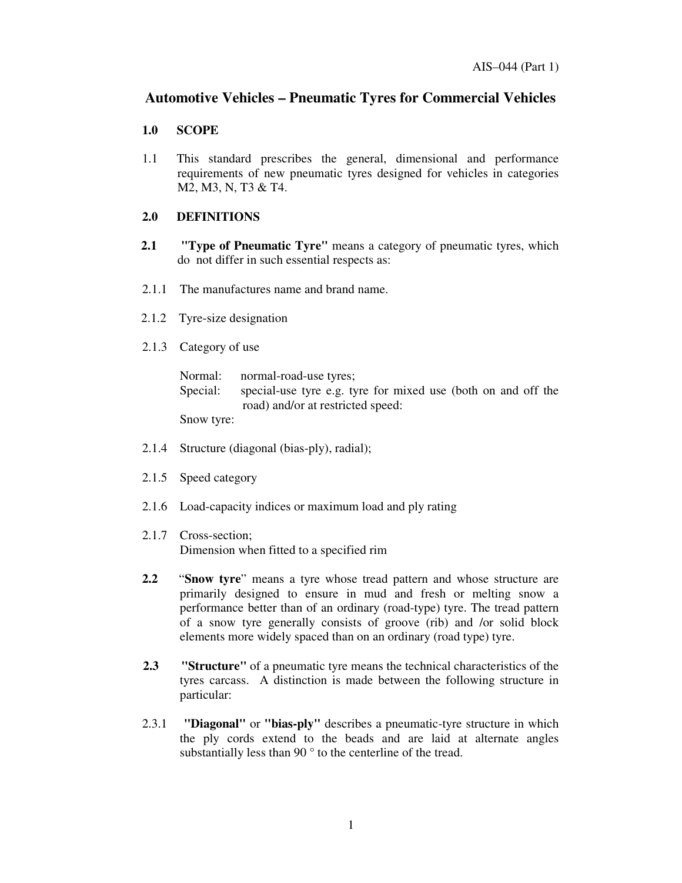# **Automotive Vehicles – Pneumatic Tyres for Commercial Vehicles**

#### **1.0 SCOPE**

1.1 This standard prescribes the general, dimensional and performance requirements of new pneumatic tyres designed for vehicles in categories M2, M3, N, T3 & T4.

#### **2.0 DEFINITIONS**

- **2.1 "Type of Pneumatic Tyre"** means a category of pneumatic tyres, which do not differ in such essential respects as:
- 2.1.1 The manufactures name and brand name.
- 2.1.2 Tyre-size designation
- 2.1.3 Category of use

|          | Normal: normal-road-use tyres;                                |
|----------|---------------------------------------------------------------|
| Special: | special-use tyre e.g. tyre for mixed use (both on and off the |
|          | road) and/or at restricted speed:                             |
|          |                                                               |

Snow tyre:

- 2.1.4 Structure (diagonal (bias-ply), radial);
- 2.1.5 Speed category
- 2.1.6 Load-capacity indices or maximum load and ply rating
- 2.1.7 Cross-section; Dimension when fitted to a specified rim
- **2.2** "**Snow tyre**" means a tyre whose tread pattern and whose structure are primarily designed to ensure in mud and fresh or melting snow a performance better than of an ordinary (road-type) tyre. The tread pattern of a snow tyre generally consists of groove (rib) and /or solid block elements more widely spaced than on an ordinary (road type) tyre.
- **2.3 "Structure"** of a pneumatic tyre means the technical characteristics of the tyres carcass. A distinction is made between the following structure in particular:
- 2.3.1 **"Diagonal"** or **"bias-ply"** describes a pneumatic-tyre structure in which the ply cords extend to the beads and are laid at alternate angles substantially less than 90  $\degree$  to the centerline of the tread.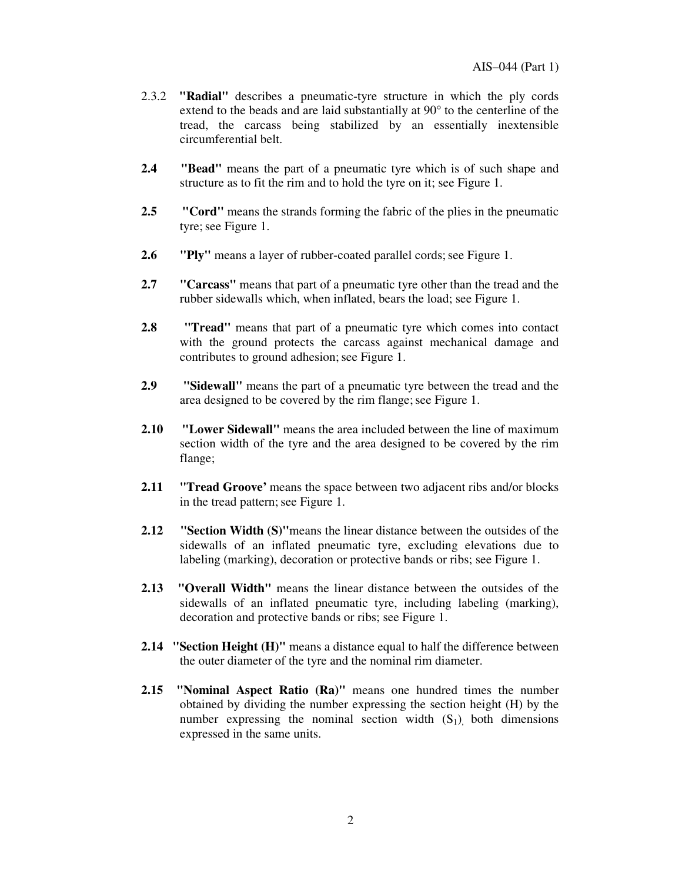- 2.3.2 **"Radial"** describes a pneumatic-tyre structure in which the ply cords extend to the beads and are laid substantially at 90° to the centerline of the tread, the carcass being stabilized by an essentially inextensible circumferential belt.
- **2.4 "Bead"** means the part of a pneumatic tyre which is of such shape and structure as to fit the rim and to hold the tyre on it; see Figure 1.
- **2.5 "Cord"** means the strands forming the fabric of the plies in the pneumatic tyre; see Figure 1.
- **2.6 "Ply"** means a layer of rubber-coated parallel cords; see Figure 1.
- **2.7 "Carcass"** means that part of a pneumatic tyre other than the tread and the rubber sidewalls which, when inflated, bears the load; see Figure 1.
- **2.8 "Tread"** means that part of a pneumatic tyre which comes into contact with the ground protects the carcass against mechanical damage and contributes to ground adhesion; see Figure 1.
- **2.9 "Sidewall"** means the part of a pneumatic tyre between the tread and the area designed to be covered by the rim flange; see Figure 1.
- **2.10 "Lower Sidewall"** means the area included between the line of maximum section width of the tyre and the area designed to be covered by the rim flange;
- **2.11 "Tread Groove'** means the space between two adjacent ribs and/or blocks in the tread pattern; see Figure 1.
- **2.12 "Section Width (S)"**means the linear distance between the outsides of the sidewalls of an inflated pneumatic tyre, excluding elevations due to labeling (marking), decoration or protective bands or ribs; see Figure 1.
- **2.13 "Overall Width"** means the linear distance between the outsides of the sidewalls of an inflated pneumatic tyre, including labeling (marking), decoration and protective bands or ribs; see Figure 1.
- **2.14 "Section Height (H)"** means a distance equal to half the difference between the outer diameter of the tyre and the nominal rim diameter.
- **2.15 "Nominal Aspect Ratio (Ra)"** means one hundred times the number obtained by dividing the number expressing the section height (H) by the number expressing the nominal section width  $(S_1)$  both dimensions expressed in the same units.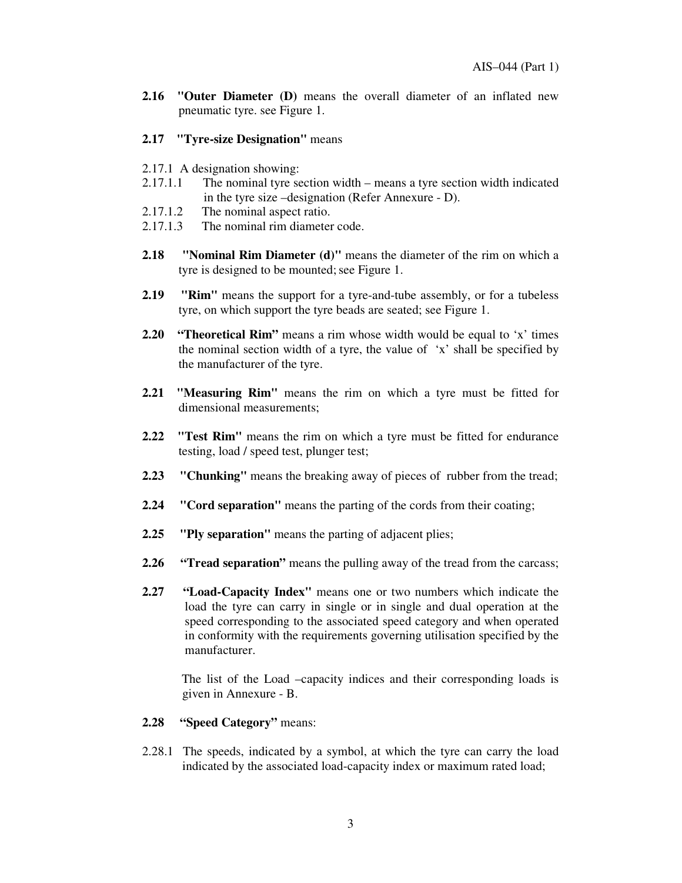- **2.16 "Outer Diameter (D)** means the overall diameter of an inflated new pneumatic tyre. see Figure 1.
- **2.17 "Tyre-size Designation"** means
- 2.17.1 A designation showing:
- 2.17.1.1 The nominal tyre section width means a tyre section width indicated in the tyre size –designation (Refer Annexure - D).
- 2.17.1.2 The nominal aspect ratio.
- 2.17.1.3 The nominal rim diameter code.
- **2.18 "Nominal Rim Diameter (d)"** means the diameter of the rim on which a tyre is designed to be mounted; see Figure 1.
- **2.19 "Rim"** means the support for a tyre-and-tube assembly, or for a tubeless tyre, on which support the tyre beads are seated; see Figure 1.
- **2.20 "Theoretical Rim"** means a rim whose width would be equal to 'x' times the nominal section width of a tyre, the value of 'x' shall be specified by the manufacturer of the tyre.
- **2.21 "Measuring Rim"** means the rim on which a tyre must be fitted for dimensional measurements;
- **2.22 "Test Rim"** means the rim on which a tyre must be fitted for endurance testing, load / speed test, plunger test;
- **2.23 "Chunking"** means the breaking away of pieces of rubber from the tread;
- **2.24 "Cord separation"** means the parting of the cords from their coating;
- **2.25 "Ply separation"** means the parting of adjacent plies;
- **2.26 "Tread separation"** means the pulling away of the tread from the carcass;
- **2.27 "Load-Capacity Index"** means one or two numbers which indicate the load the tyre can carry in single or in single and dual operation at the speed corresponding to the associated speed category and when operated in conformity with the requirements governing utilisation specified by the manufacturer.

The list of the Load –capacity indices and their corresponding loads is given in Annexure - B.

#### **2.28 " Speed Category"** means:

2.28.1 The speeds, indicated by a symbol, at which the tyre can carry the load indicated by the associated load-capacity index or maximum rated load;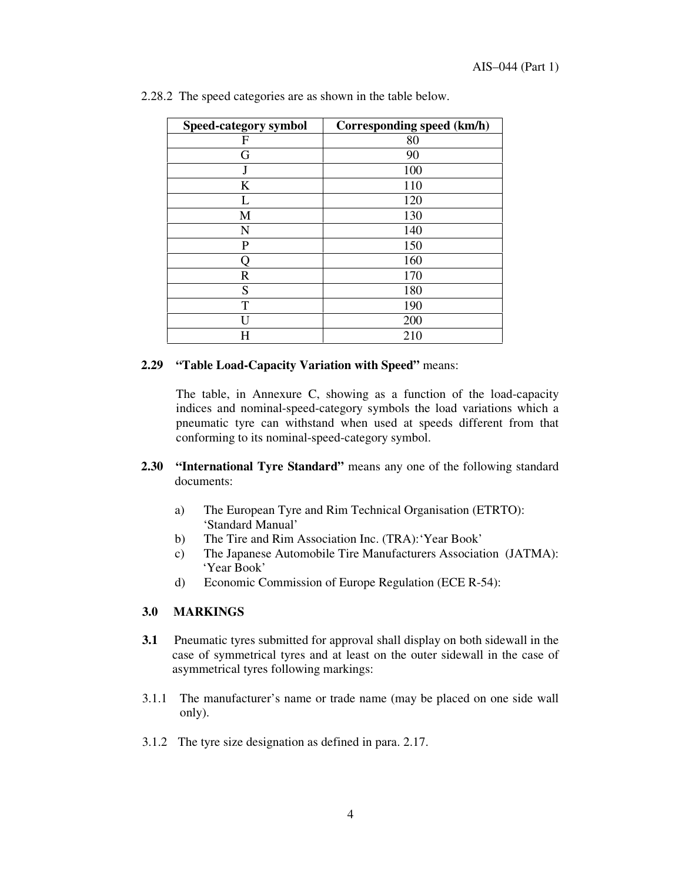| Speed-category symbol | Corresponding speed (km/h) |
|-----------------------|----------------------------|
| F                     | 80                         |
| G                     | 90                         |
|                       | 100                        |
| K                     | 110                        |
|                       | 120                        |
| M                     | 130                        |
| N                     | 140                        |
| $\mathbf P$           | 150                        |
|                       | 160                        |
| R                     | 170                        |
| S                     | 180                        |
| T                     | 190                        |
|                       | 200                        |
| Η                     | 210                        |

|  | 2.28.2 The speed categories are as shown in the table below. |  |  |
|--|--------------------------------------------------------------|--|--|
|  |                                                              |  |  |

#### **2.29 " Table Load-Capacity Variation with Speed"** means:

The table, in Annexure C, showing as a function of the load-capacity indices and nominal-speed-category symbols the load variations which a pneumatic tyre can withstand when used at speeds different from that conforming to its nominal-speed-category symbol.

- **2.30 " International Tyre Standard"** means any one of the following standard documents:
	- a) The European Tyre and Rim Technical Organisation (ETRTO): 'Standard Manual'
	- b) The Tire and Rim Association Inc. (TRA):'Year Book'
	- c) The Japanese Automobile Tire Manufacturers Association (JATMA): 'Year Book'
	- d) Economic Commission of Europe Regulation (ECE R-54):

#### **3.0 MARKINGS**

- **3.1** Pneumatic tyres submitted for approval shall display on both sidewall in the case of symmetrical tyres and at least on the outer sidewall in the case of asymmetrical tyres following markings:
- 3.1.1 The manufacturer's name or trade name (may be placed on one side wall only).
- 3.1.2 The tyre size designation as defined in para. 2.17.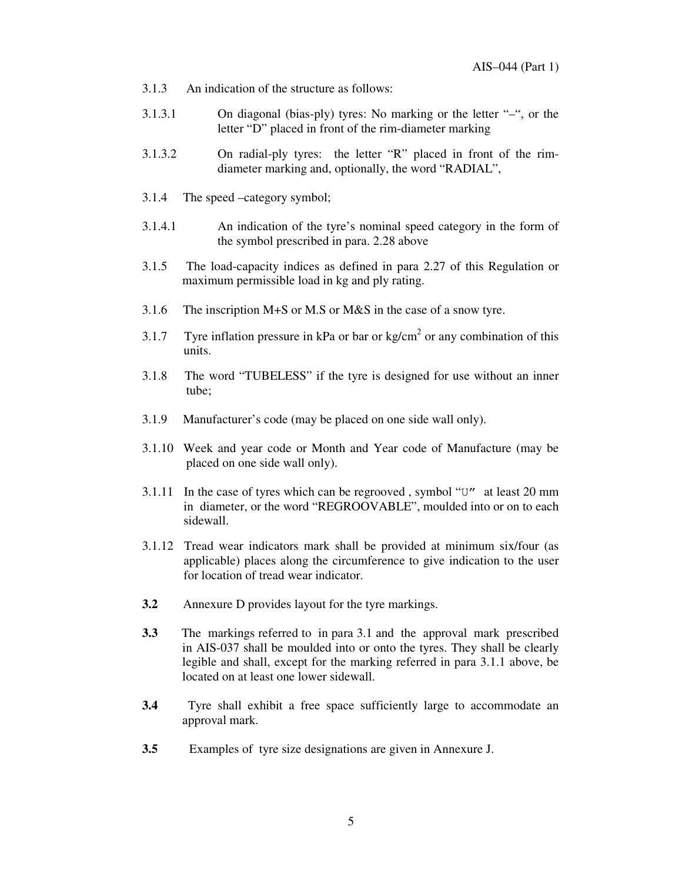- 3.1.3 An indication of the structure as follows:
- 3.1.3.1 On diagonal (bias-ply) tyres: No marking or the letter "–", or the letter "D" placed in front of the rim-diameter marking
- 3.1.3.2 On radial-ply tyres: the letter "R" placed in front of the rimdiameter marking and, optionally, the word "RADIAL",
- 3.1.4 The speed –category symbol;
- 3.1.4.1 An indication of the tyre's nominal speed category in the form of the symbol prescribed in para. 2.28 above
- 3.1.5 The load-capacity indices as defined in para 2.27 of this Regulation or maximum permissible load in kg and ply rating.
- 3.1.6 The inscription M+S or M.S or M&S in the case of a snow tyre.
- 3.1.7 Tyre inflation pressure in kPa or bar or kg/cm<sup>2</sup> or any combination of this units.
- 3.1.8 The word "TUBELESS" if the tyre is designed for use without an inner tube;
- 3.1.9 Manufacturer's code (may be placed on one side wall only).
- 3.1.10 Week and year code or Month and Year code of Manufacture (may be placed on one side wall only).
- 3.1.11 In the case of tyres which can be regrooved, symbol " $U''$  at least 20 mm in diameter, or the word "REGROOVABLE", moulded into or on to each sidewall.
- 3.1.12 Tread wear indicators mark shall be provided at minimum six/four (as applicable) places along the circumference to give indication to the user for location of tread wear indicator.
- **3.2** Annexure D provides layout for the tyre markings.
- **3.3** The markings referred to in para 3.1 and the approval mark prescribed in AIS-037 shall be moulded into or onto the tyres. They shall be clearly legible and shall, except for the marking referred in para 3.1.1 above, be located on at least one lower sidewall.
- **3.4** Tyre shall exhibit a free space sufficiently large to accommodate an approval mark.
- **3.5** Examples of tyre size designations are given in Annexure J.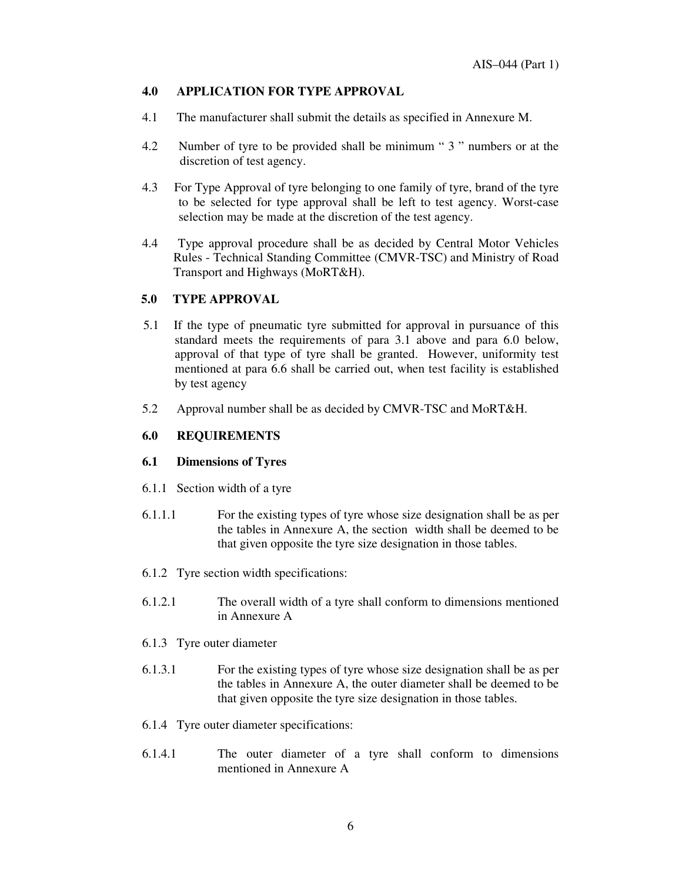#### **4.0 APPLICATION FOR TYPE APPROVAL**

- 4.1 The manufacturer shall submit the details as specified in Annexure M.
- 4.2 Number of tyre to be provided shall be minimum " 3 " numbers or at the discretion of test agency.
- 4.3 For Type Approval of tyre belonging to one family of tyre, brand of the tyre to be selected for type approval shall be left to test agency. Worst-case selection may be made at the discretion of the test agency.
- 4.4 Type approval procedure shall be as decided by Central Motor Vehicles Rules - Technical Standing Committee (CMVR-TSC) and Ministry of Road Transport and Highways (MoRT&H).

#### **5.0 TYPE APPROVAL**

- 5.1 If the type of pneumatic tyre submitted for approval in pursuance of this standard meets the requirements of para 3.1 above and para 6.0 below, approval of that type of tyre shall be granted. However, uniformity test mentioned at para 6.6 shall be carried out, when test facility is established by test agency
- 5.2 Approval number shall be as decided by CMVR-TSC and MoRT&H.

### **6.0 REQUIREMENTS**

#### **6.1 Dimensions of Tyres**

- 6.1.1 Section width of a tyre
- 6.1.1.1 For the existing types of tyre whose size designation shall be as per the tables in Annexure A, the section width shall be deemed to be that given opposite the tyre size designation in those tables.
- 6.1.2 Tyre section width specifications:
- 6.1.2.1 The overall width of a tyre shall conform to dimensions mentioned in Annexure A
- 6.1.3 Tyre outer diameter
- 6.1.3.1 For the existing types of tyre whose size designation shall be as per the tables in Annexure A, the outer diameter shall be deemed to be that given opposite the tyre size designation in those tables.
- 6.1.4 Tyre outer diameter specifications:
- 6.1.4.1 The outer diameter of a tyre shall conform to dimensions mentioned in Annexure A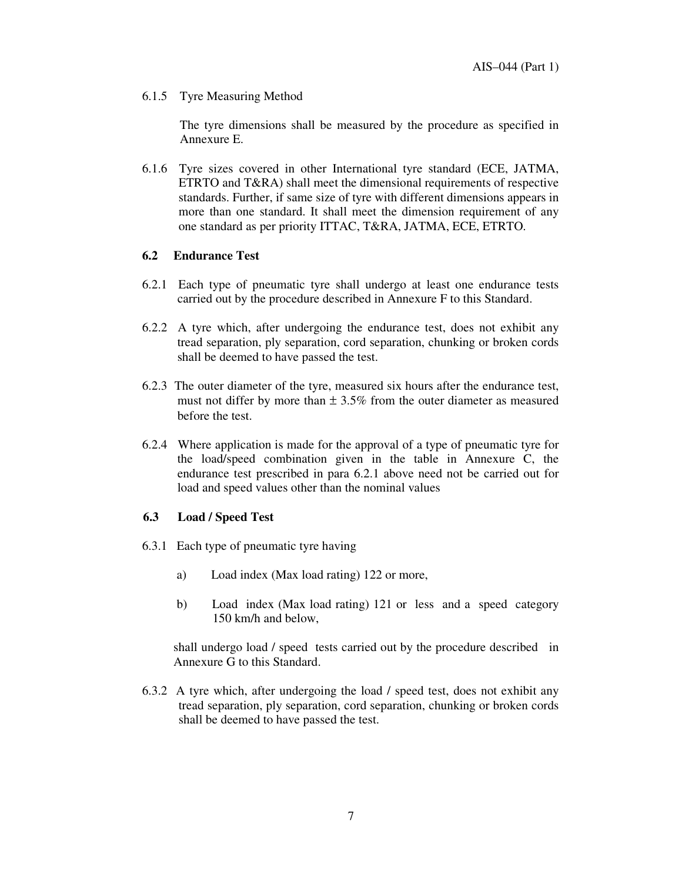6.1.5 Tyre Measuring Method

The tyre dimensions shall be measured by the procedure as specified in Annexure E.

6.1.6 Tyre sizes covered in other International tyre standard (ECE, JATMA, ETRTO and T&RA) shall meet the dimensional requirements of respective standards. Further, if same size of tyre with different dimensions appears in more than one standard. It shall meet the dimension requirement of any one standard as per priority ITTAC, T&RA, JATMA, ECE, ETRTO.

#### **6.2 Endurance Test**

- 6.2.1 Each type of pneumatic tyre shall undergo at least one endurance tests carried out by the procedure described in Annexure F to this Standard.
- 6.2.2 A tyre which, after undergoing the endurance test, does not exhibit any tread separation, ply separation, cord separation, chunking or broken cords shall be deemed to have passed the test.
- 6.2.3 The outer diameter of the tyre, measured six hours after the endurance test, must not differ by more than  $\pm 3.5\%$  from the outer diameter as measured before the test.
- 6.2.4 Where application is made for the approval of a type of pneumatic tyre for the load/speed combination given in the table in Annexure C, the endurance test prescribed in para 6.2.1 above need not be carried out for load and speed values other than the nominal values

#### **6.3 Load / Speed Test**

- 6.3.1 Each type of pneumatic tyre having
	- a) Load index (Max load rating) 122 or more,
	- b) Load index (Max load rating) 121 or less and a speed category 150 km/h and below,

shall undergo load / speed tests carried out by the procedure described in Annexure G to this Standard.

6.3.2 A tyre which, after undergoing the load / speed test, does not exhibit any tread separation, ply separation, cord separation, chunking or broken cords shall be deemed to have passed the test.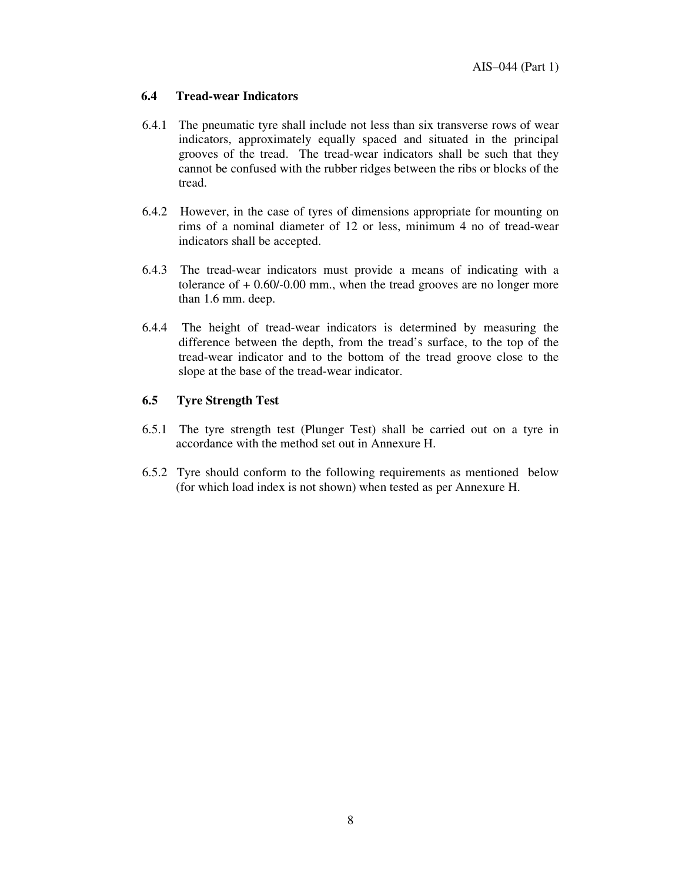#### **6.4 Tread-wear Indicators**

- 6.4.1 The pneumatic tyre shall include not less than six transverse rows of wear indicators, approximately equally spaced and situated in the principal grooves of the tread. The tread-wear indicators shall be such that they cannot be confused with the rubber ridges between the ribs or blocks of the tread.
- 6.4.2 However, in the case of tyres of dimensions appropriate for mounting on rims of a nominal diameter of 12 or less, minimum 4 no of tread-wear indicators shall be accepted.
- 6.4.3 The tread-wear indicators must provide a means of indicating with a tolerance of  $+0.60/-0.00$  mm., when the tread grooves are no longer more than 1.6 mm. deep.
- 6.4.4 The height of tread-wear indicators is determined by measuring the difference between the depth, from the tread's surface, to the top of the tread-wear indicator and to the bottom of the tread groove close to the slope at the base of the tread-wear indicator.

#### **6.5 Tyre Strength Test**

- 6.5.1 The tyre strength test (Plunger Test) shall be carried out on a tyre in accordance with the method set out in Annexure H.
- 6.5.2 Tyre should conform to the following requirements as mentioned below (for which load index is not shown) when tested as per Annexure H.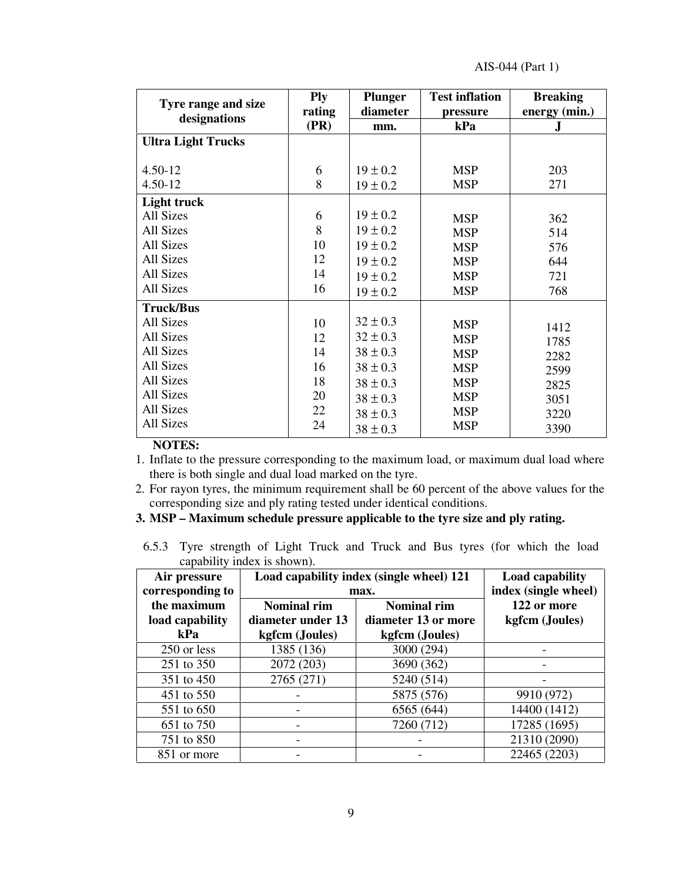| Tyre range and size       | <b>Ply</b> | <b>Plunger</b> | <b>Test inflation</b> | <b>Breaking</b> |
|---------------------------|------------|----------------|-----------------------|-----------------|
| designations              | rating     | diameter       | pressure              | energy (min.)   |
|                           | (PR)       | mm.            | kPa                   | J               |
| <b>Ultra Light Trucks</b> |            |                |                       |                 |
|                           |            |                |                       |                 |
| $4.50 - 12$               | 6          | $19 \pm 0.2$   | <b>MSP</b>            | 203             |
| 4.50-12                   | 8          | $19 \pm 0.2$   | <b>MSP</b>            | 271             |
| <b>Light truck</b>        |            |                |                       |                 |
| All Sizes                 | 6          | $19 \pm 0.2$   | <b>MSP</b>            | 362             |
| All Sizes                 | 8          | $19 \pm 0.2$   | <b>MSP</b>            | 514             |
| All Sizes                 | 10         | $19 \pm 0.2$   | <b>MSP</b>            | 576             |
| All Sizes                 | 12         | $19 \pm 0.2$   | <b>MSP</b>            | 644             |
| All Sizes                 | 14         | $19 \pm 0.2$   | <b>MSP</b>            | 721             |
| <b>All Sizes</b>          | 16         | $19 \pm 0.2$   | <b>MSP</b>            | 768             |
| <b>Truck/Bus</b>          |            |                |                       |                 |
| <b>All Sizes</b>          | 10         | $32 \pm 0.3$   | <b>MSP</b>            | 1412            |
| <b>All Sizes</b>          | 12         | $32 \pm 0.3$   | <b>MSP</b>            | 1785            |
| All Sizes                 | 14         | $38 \pm 0.3$   | <b>MSP</b>            | 2282            |
| All Sizes                 | 16         | $38 \pm 0.3$   | <b>MSP</b>            | 2599            |
| All Sizes                 | 18         | $38 \pm 0.3$   | <b>MSP</b>            | 2825            |
| All Sizes                 | 20         | $38 \pm 0.3$   | <b>MSP</b>            | 3051            |
| All Sizes                 | 22         | $38 \pm 0.3$   | <b>MSP</b>            | 3220            |
| All Sizes                 | 24         | $38 \pm 0.3$   | <b>MSP</b>            | 3390            |

**NOTES:**

1. Inflate to the pressure corresponding to the maximum load, or maximum dual load where there is both single and dual load marked on the tyre.

2. For rayon tyres, the minimum requirement shall be 60 percent of the above values for the corresponding size and ply rating tested under identical conditions.

**3. MSP – Maximum schedule pressure applicable to the tyre size and ply rating.**

6.5.3 Tyre strength of Light Truck and Truck and Bus tyres (for which the load capability index is shown).

| Air pressure<br>corresponding to      |                                                           | Load capability index (single wheel) 121<br>max.            | <b>Load capability</b><br>index (single wheel) |  |  |
|---------------------------------------|-----------------------------------------------------------|-------------------------------------------------------------|------------------------------------------------|--|--|
| the maximum<br>load capability<br>kPa | <b>Nominal rim</b><br>diameter under 13<br>kgfcm (Joules) | <b>Nominal rim</b><br>diameter 13 or more<br>kgfcm (Joules) | 122 or more<br>kgfcm (Joules)                  |  |  |
| 250 or less                           | 1385 (136)                                                | 3000 (294)                                                  |                                                |  |  |
| 251 to 350                            | 2072 (203)                                                | 3690 (362)                                                  |                                                |  |  |
| 351 to 450                            | 2765 (271)                                                | 5240 (514)                                                  |                                                |  |  |
| 451 to 550                            |                                                           | 5875 (576)                                                  | 9910 (972)                                     |  |  |
| 551 to 650                            |                                                           | 6565 (644)                                                  | 14400 (1412)                                   |  |  |
| 651 to 750                            |                                                           | 7260 (712)                                                  | 17285 (1695)                                   |  |  |
| 751 to 850                            |                                                           |                                                             | 21310 (2090)                                   |  |  |
| 851 or more                           |                                                           |                                                             | 22465 (2203)                                   |  |  |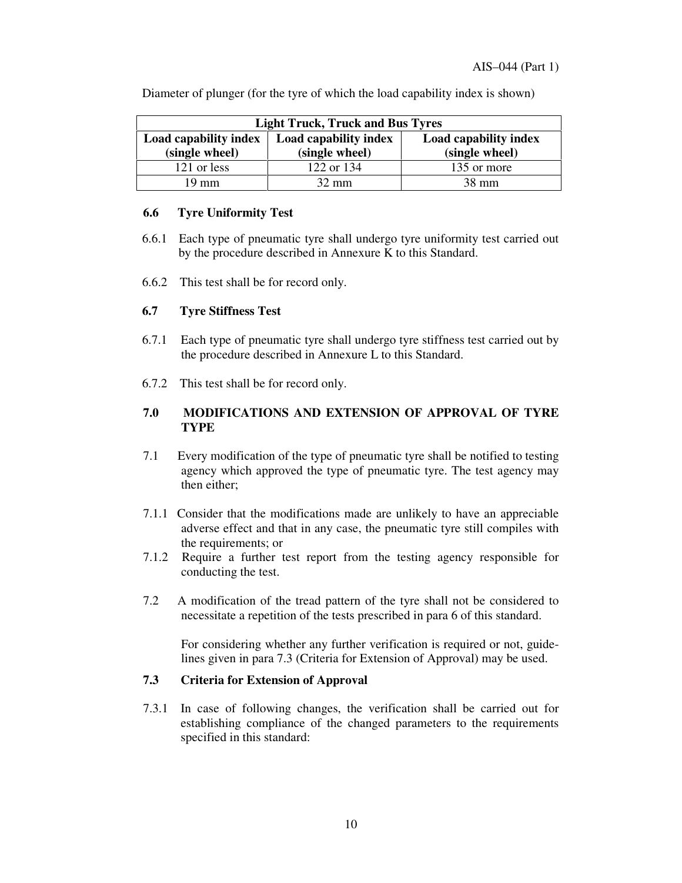| <b>Light Truck, Truck and Bus Tyres</b> |                       |                       |  |  |  |  |  |  |  |  |
|-----------------------------------------|-----------------------|-----------------------|--|--|--|--|--|--|--|--|
| Load capability index                   | Load capability index | Load capability index |  |  |  |  |  |  |  |  |
| (single wheel)                          | (single wheel)        | (single wheel)        |  |  |  |  |  |  |  |  |
| 121 or less                             | 122 or 134            | 135 or more           |  |  |  |  |  |  |  |  |
| 19 mm                                   | $32 \text{ mm}$       | $38 \text{ mm}$       |  |  |  |  |  |  |  |  |

Diameter of plunger (for the tyre of which the load capability index is shown)

#### **6.6 Tyre Uniformity Test**

- 6.6.1 Each type of pneumatic tyre shall undergo tyre uniformity test carried out by the procedure described in Annexure K to this Standard.
- 6.6.2 This test shall be for record only.

#### **6.7 Tyre Stiffness Test**

- 6.7.1 Each type of pneumatic tyre shall undergo tyre stiffness test carried out by the procedure described in Annexure L to this Standard.
- 6.7.2 This test shall be for record only.

#### **7.0 MODIFICATIONS AND EXTENSION OF APPROVAL OF TYRE TYPE**

- 7.1 Every modification of the type of pneumatic tyre shall be notified to testing agency which approved the type of pneumatic tyre. The test agency may then either;
- 7.1.1 Consider that the modifications made are unlikely to have an appreciable adverse effect and that in any case, the pneumatic tyre still compiles with the requirements; or
- 7.1.2 Require a further test report from the testing agency responsible for conducting the test.
- 7.2 A modification of the tread pattern of the tyre shall not be considered to necessitate a repetition of the tests prescribed in para 6 of this standard.

For considering whether any further verification is required or not, guidelines given in para 7.3 (Criteria for Extension of Approval) may be used.

#### **7.3 Criteria for Extension of Approval**

7.3.1 In case of following changes, the verification shall be carried out for establishing compliance of the changed parameters to the requirements specified in this standard: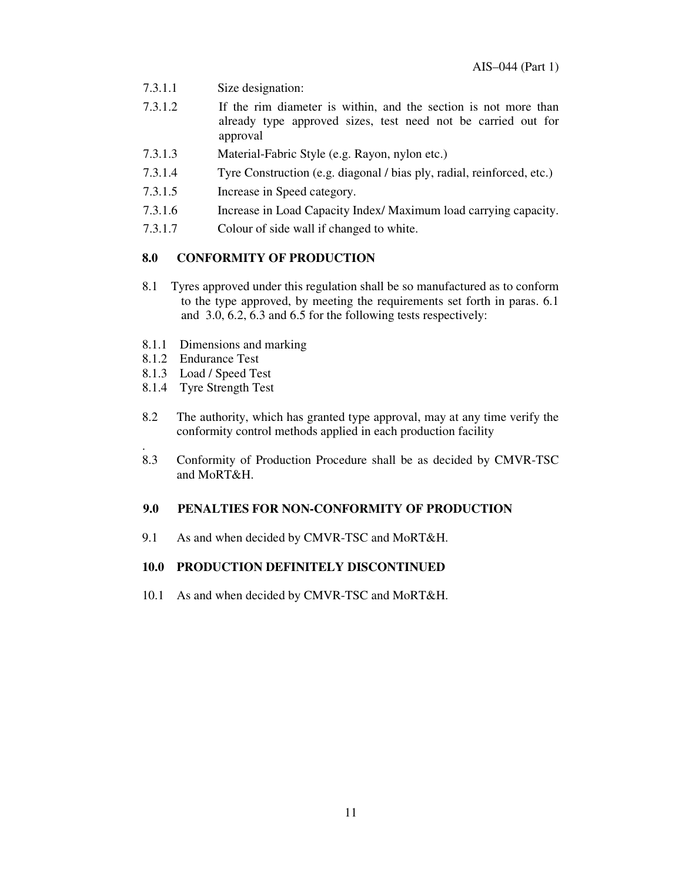- 7.3.1.1 Size designation:
- 7.3.1.2 If the rim diameter is within, and the section is not more than already type approved sizes, test need not be carried out for approval
- 7.3.1.3 Material-Fabric Style (e.g. Rayon, nylon etc.)
- 7.3.1.4 Tyre Construction (e.g. diagonal / bias ply, radial, reinforced, etc.)
- 7.3.1.5 Increase in Speed category.
- 7.3.1.6 Increase in Load Capacity Index/ Maximum load carrying capacity.
- 7.3.1.7 Colour of side wall if changed to white.

#### **8.0 CONFORMITY OF PRODUCTION**

- 8.1 Tyres approved under this regulation shall be so manufactured as to conform to the type approved, by meeting the requirements set forth in paras. 6.1 and 3.0, 6.2, 6.3 and 6.5 for the following tests respectively:
- 8.1.1 Dimensions and marking
- 8.1.2 Endurance Test
- 8.1.3 Load / Speed Test
- 8.1.4 Tyre Strength Test
- 8.2 The authority, which has granted type approval, may at any time verify the conformity control methods applied in each production facility
- . 8.3 Conformity of Production Procedure shall be as decided by CMVR-TSC and MoRT&H.

#### **9.0 PENALTIES FOR NON-CONFORMITY OF PRODUCTION**

9.1 As and when decided by CMVR-TSC and MoRT&H.

#### **10.0 PRODUCTION DEFINITELY DISCONTINUED**

10.1 As and when decided by CMVR-TSC and MoRT&H.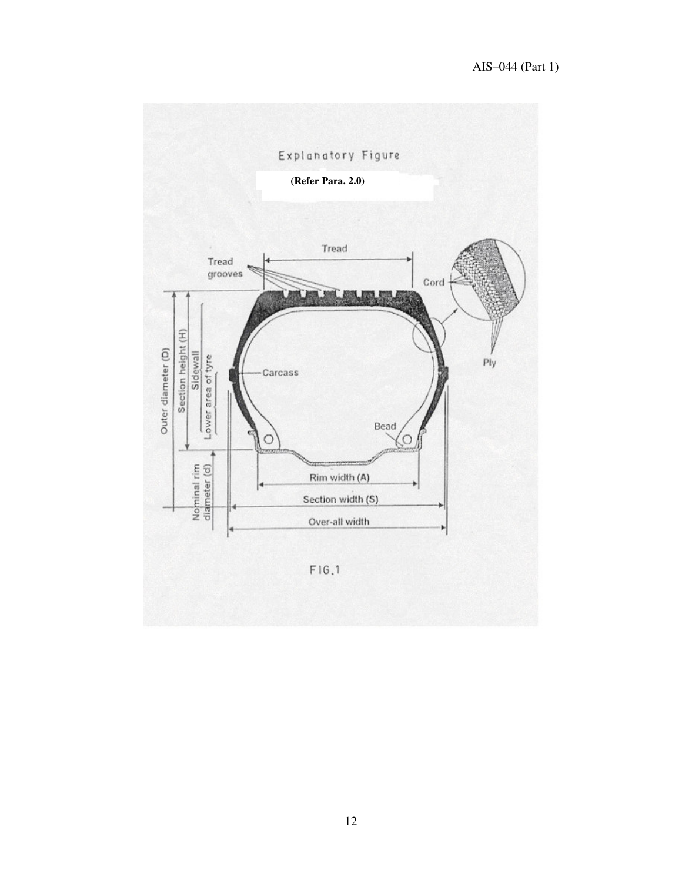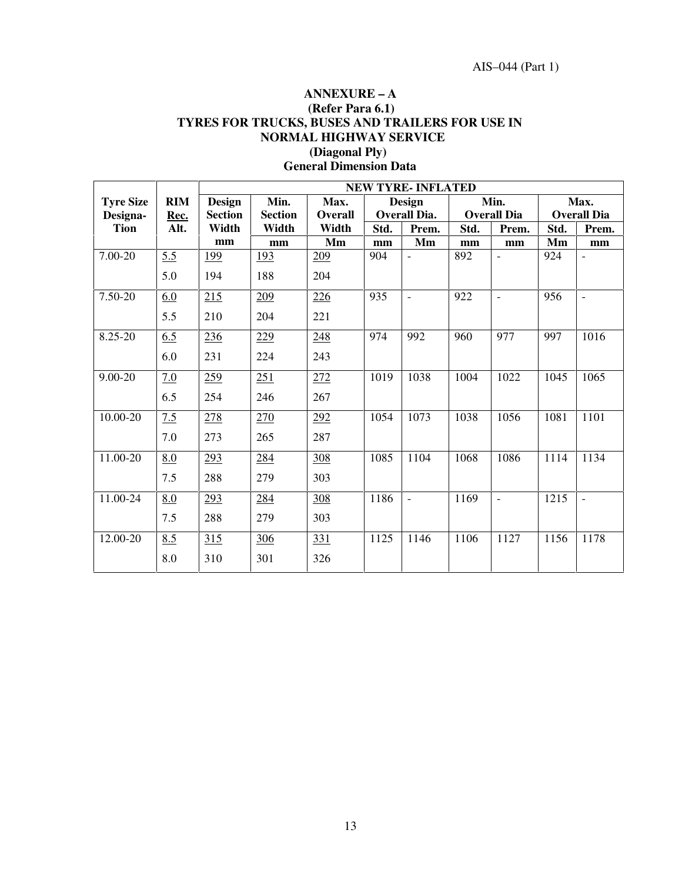# **ANNEXURE – A (Refer Para 6.1) TYRES FOR TRUCKS, BUSES AND TRAILERS FOR USE IN NORMAL HIGHWAY SERVICE (Diagonal Ply)**

|                  |            |                | <b>NEW TYRE- INFLATED</b> |                 |      |                          |      |                    |                    |                |  |  |
|------------------|------------|----------------|---------------------------|-----------------|------|--------------------------|------|--------------------|--------------------|----------------|--|--|
| <b>Tyre Size</b> | <b>RIM</b> | <b>Design</b>  | Min.                      | Max.            |      | <b>Design</b>            |      | Min.               |                    | Max.           |  |  |
| Designa-         | Rec.       | <b>Section</b> | <b>Section</b>            | Overall         |      | <b>Overall Dia.</b>      |      | <b>Overall Dia</b> | <b>Overall Dia</b> |                |  |  |
| <b>Tion</b>      | Alt.       | Width          | Width                     | Width           | Std. | Prem.                    | Std. | Prem.              | Std.               | Prem.          |  |  |
|                  |            | mm             | mm                        | Mm              | mm   | Mm                       | mm   | mm                 | Mm                 | mm             |  |  |
| 7.00-20          | 5.5        | 199            | 193                       | 209             | 904  | $\overline{\phantom{a}}$ | 892  |                    | 924                |                |  |  |
|                  | 5.0        | 194            | 188                       | 204             |      |                          |      |                    |                    |                |  |  |
| 7.50-20          | 6.0        | 215            | 209                       | 226             | 935  | $\sim$                   | 922  | $\overline{a}$     | 956                | $\overline{a}$ |  |  |
|                  | 5.5        | 210            | 204                       | 221             |      |                          |      |                    |                    |                |  |  |
| 8.25-20          | 6.5        | 236            | 229                       | 248             | 974  | 992                      | 960  | 977                | 997                | 1016           |  |  |
|                  | 6.0        | 231            | 224                       | 243             |      |                          |      |                    |                    |                |  |  |
| $9.00 - 20$      | 7.0        | 259            | 251                       | 272             | 1019 | 1038                     | 1004 | 1022               | 1045               | 1065           |  |  |
|                  | 6.5        | 254            | 246                       | 267             |      |                          |      |                    |                    |                |  |  |
| 10.00-20         | 7.5        | 278            | 270                       | 292             | 1054 | 1073                     | 1038 | 1056               | 1081               | 1101           |  |  |
|                  | 7.0        | 273            | 265                       | 287             |      |                          |      |                    |                    |                |  |  |
| 11.00-20         | 8.0        | 293            | 284                       | 308             | 1085 | 1104                     | 1068 | 1086               | 1114               | 1134           |  |  |
|                  | 7.5        | 288            | 279                       | 303             |      |                          |      |                    |                    |                |  |  |
| 11.00-24         | 8.0        | 293            | 284                       | 30 <sub>8</sub> | 1186 |                          | 1169 | $\overline{a}$     | 1215               | $\blacksquare$ |  |  |
|                  | 7.5        | 288            | 279                       | 303             |      |                          |      |                    |                    |                |  |  |
| 12.00-20         | 8.5        | 315            | 306                       | 331             | 1125 | 1146                     | 1106 | 1127               | 1156               | 1178           |  |  |
|                  | 8.0        | 310            | 301                       | 326             |      |                          |      |                    |                    |                |  |  |

# **General Dimension Data**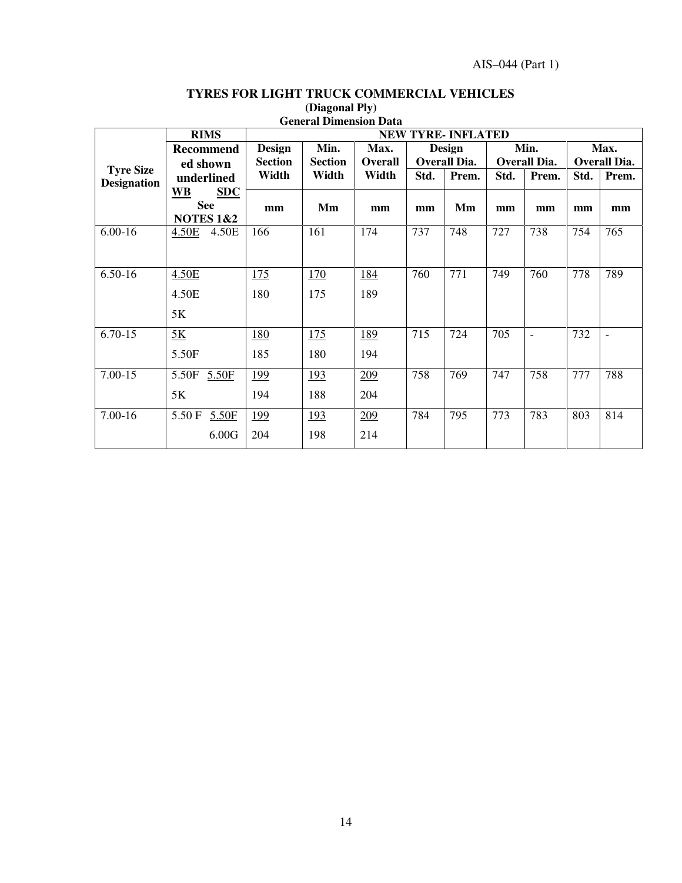|                                        | <b>General Dimension Data</b> |                                  |            |                |                     |                           |                     |                          |                     |                          |  |  |
|----------------------------------------|-------------------------------|----------------------------------|------------|----------------|---------------------|---------------------------|---------------------|--------------------------|---------------------|--------------------------|--|--|
|                                        | <b>RIMS</b>                   |                                  |            |                |                     | <b>NEW TYRE- INFLATED</b> |                     |                          |                     |                          |  |  |
|                                        | <b>Recommend</b>              | <b>Design</b>                    | Min.       | Max.           | <b>Design</b>       |                           |                     | Min.                     | Max.                |                          |  |  |
|                                        | ed shown                      | <b>Section</b><br><b>Section</b> |            | <b>Overall</b> | <b>Overall Dia.</b> |                           | <b>Overall Dia.</b> |                          | <b>Overall Dia.</b> |                          |  |  |
| <b>Tyre Size</b><br><b>Designation</b> | underlined                    | Width                            | Width      | Width          | Std.                | Prem.                     | Std.                | Prem.                    | Std.                | Prem.                    |  |  |
|                                        | <b>SDC</b><br><b>WB</b>       |                                  |            |                |                     |                           |                     |                          |                     |                          |  |  |
|                                        | <b>See</b>                    | mm                               | Mm         | mm             | mm                  | Mm                        | mm                  | mm                       | mm                  | mm                       |  |  |
|                                        | <b>NOTES 1&amp;2</b>          |                                  |            |                |                     |                           |                     |                          |                     |                          |  |  |
| $6.00 - 16$                            | 4.50E<br>4.50E                | 166                              | 161        | 174            | 737                 | 748                       | 727                 | 738                      | 754                 | 765                      |  |  |
|                                        |                               |                                  |            |                |                     |                           |                     |                          |                     |                          |  |  |
|                                        |                               |                                  |            |                |                     |                           |                     |                          |                     |                          |  |  |
| $6.50-16$                              | 4.50E                         | 175                              | 170        | 184            | 760                 | 771                       | 749                 | 760                      | 778                 | 789                      |  |  |
|                                        | 4.50E                         | 180                              | 175        | 189            |                     |                           |                     |                          |                     |                          |  |  |
|                                        |                               |                                  |            |                |                     |                           |                     |                          |                     |                          |  |  |
|                                        | 5K                            |                                  |            |                |                     |                           |                     |                          |                     |                          |  |  |
| $6.70 - 15$                            | 5K                            | 180                              | 175        | 189            | 715                 | 724                       | 705                 | $\overline{\phantom{a}}$ | 732                 | $\overline{\phantom{a}}$ |  |  |
|                                        | 5.50F                         | 185                              | 180        | 194            |                     |                           |                     |                          |                     |                          |  |  |
|                                        |                               |                                  |            |                |                     |                           |                     |                          |                     |                          |  |  |
| $7.00 - 15$                            | 5.50F<br>5.50F                | 199                              | <u>193</u> | 209            | 758                 | 769                       | 747                 | 758                      | 777                 | 788                      |  |  |
|                                        | 5K                            | 194                              | 188        | 204            |                     |                           |                     |                          |                     |                          |  |  |
|                                        |                               |                                  |            |                |                     |                           |                     |                          |                     |                          |  |  |
| 7.00-16                                | 5.50 F<br>5.50F               | 199                              | <u>193</u> | 209            | 784                 | 795                       | 773                 | 783                      | 803                 | 814                      |  |  |
|                                        | 6.00G                         | 204                              | 198        | 214            |                     |                           |                     |                          |                     |                          |  |  |
|                                        |                               |                                  |            |                |                     |                           |                     |                          |                     |                          |  |  |

# **TYRES FOR LIGHT TRUCK COMMERCIAL VEHICLES (Diagonal Ply)**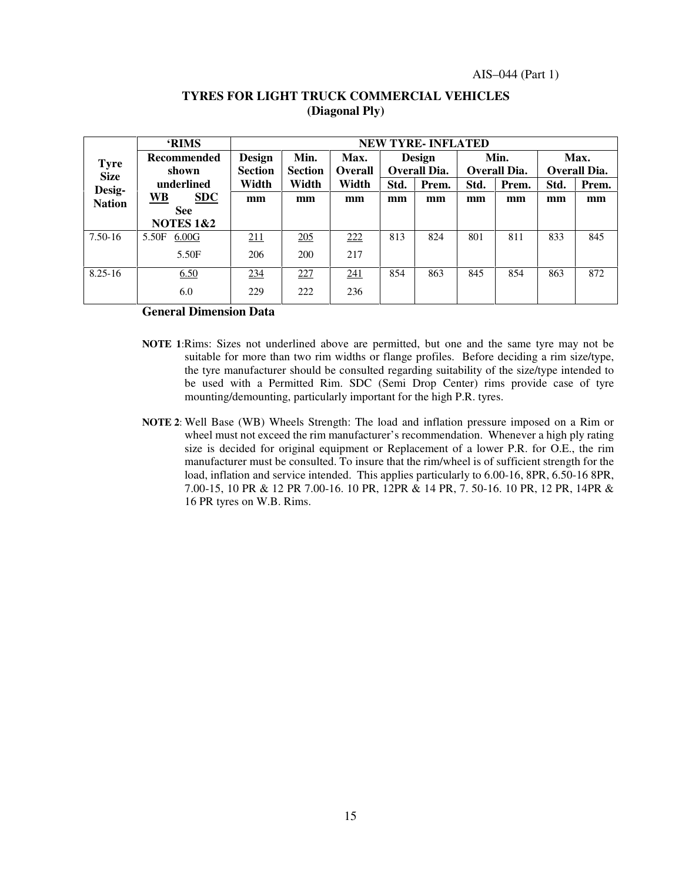|               | <b>RIMS</b>             | <b>NEW TYRE-INFLATED</b> |                |                |        |              |      |              |                     |       |  |  |
|---------------|-------------------------|--------------------------|----------------|----------------|--------|--------------|------|--------------|---------------------|-------|--|--|
| <b>Tyre</b>   | <b>Recommended</b>      | <b>Design</b>            | Min.           | Max.           | Design |              |      | Min.         | Max.                |       |  |  |
| <b>Size</b>   | shown                   | <b>Section</b>           | <b>Section</b> | <b>Overall</b> |        | Overall Dia. |      | Overall Dia. | <b>Overall Dia.</b> |       |  |  |
| Desig-        | underlined              | Width                    | Width          | Width          | Std.   | Prem.        | Std. | Prem.        | Std.                | Prem. |  |  |
| <b>Nation</b> | <b>WB</b><br><b>SDC</b> | mm                       | mm             | mm             | mm     | mm           | mm   | mm           | mm                  | mm    |  |  |
|               | <b>See</b>              |                          |                |                |        |              |      |              |                     |       |  |  |
|               | <b>NOTES 1&amp;2</b>    |                          |                |                |        |              |      |              |                     |       |  |  |
| 7.50-16       | 5.50F<br>6.00G          | 211                      | 205            | 222            | 813    | 824          | 801  | 811          | 833                 | 845   |  |  |
|               | 5.50F                   | 206                      | 200            | 217            |        |              |      |              |                     |       |  |  |
| $8.25 - 16$   | 6.50                    | 234                      | 227            | 241            | 854    | 863          | 845  | 854          | 863                 | 872   |  |  |
|               | 6.0                     | 229                      | 222            | 236            |        |              |      |              |                     |       |  |  |

#### **TYRES FOR LIGHT TRUCK COMMERCIAL VEHICLES (Diagonal Ply)**

**General Dimension Data**

- **NOTE 1**:Rims: Sizes not underlined above are permitted, but one and the same tyre may not be suitable for more than two rim widths or flange profiles. Before deciding a rim size/type, the tyre manufacturer should be consulted regarding suitability of the size/type intended to be used with a Permitted Rim. SDC (Semi Drop Center) rims provide case of tyre mounting/demounting, particularly important for the high P.R. tyres.
- **NOTE 2**: Well Base (WB) Wheels Strength: The load and inflation pressure imposed on a Rim or wheel must not exceed the rim manufacturer's recommendation. Whenever a high ply rating size is decided for original equipment or Replacement of a lower P.R. for O.E., the rim manufacturer must be consulted. To insure that the rim/wheel is of sufficient strength for the load, inflation and service intended. This applies particularly to 6.00-16, 8PR, 6.50-16 8PR, 7.00-15, 10 PR & 12 PR 7.00-16. 10 PR, 12PR & 14 PR, 7. 50-16. 10 PR, 12 PR, 14PR & 16 PR tyres on W.B. Rims.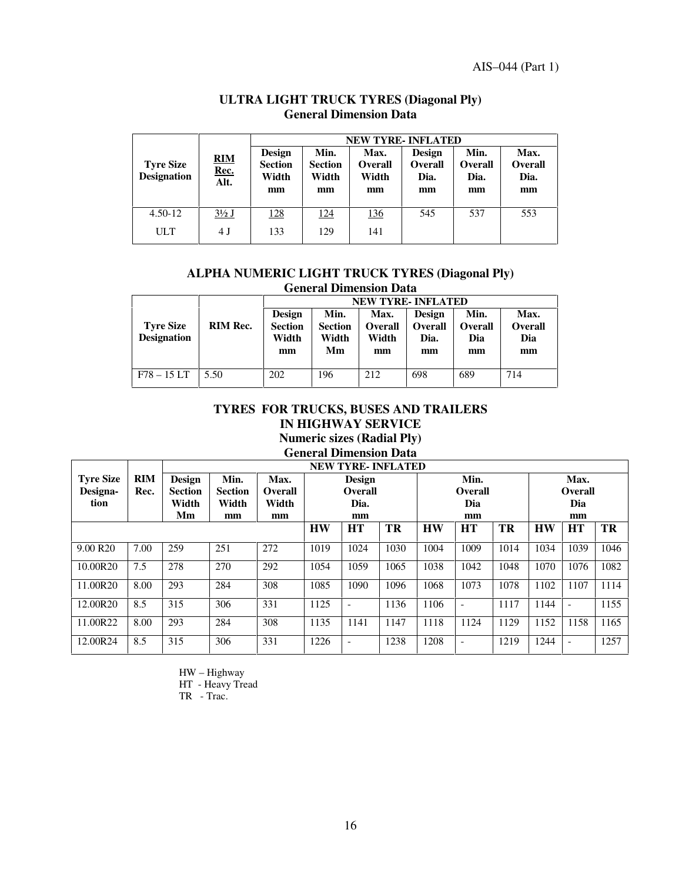AIS–044 (Part 1)

|                                        |                            | <b>NEW TYRE-INFLATED</b>                       |                                       |                                       |                                               |                                      |                                      |  |  |  |
|----------------------------------------|----------------------------|------------------------------------------------|---------------------------------------|---------------------------------------|-----------------------------------------------|--------------------------------------|--------------------------------------|--|--|--|
| <b>Tyre Size</b><br><b>Designation</b> | <b>RIM</b><br>Rec.<br>Alt. | <b>Design</b><br><b>Section</b><br>Width<br>mm | Min.<br><b>Section</b><br>Width<br>mm | Max.<br><b>Overall</b><br>Width<br>mm | <b>Design</b><br><b>Overall</b><br>Dia.<br>mm | Min.<br><b>Overall</b><br>Dia.<br>mm | Max.<br><b>Overall</b><br>Dia.<br>mm |  |  |  |
| $4.50 - 12$                            | $3\frac{1}{2}$ J           | 128                                            | 124                                   | 136                                   | 545                                           | 537                                  | 553                                  |  |  |  |
| <b>ULT</b>                             | 4 J                        | 133                                            | 129                                   | 141                                   |                                               |                                      |                                      |  |  |  |

# **ULTRA LIGHT TRUCK TYRES (Diagonal Ply) General Dimension Data**

#### **ALPHA NUMERIC LIGHT TRUCK TYRES (Diagonal Ply) General Dimension Data**

|                                        |                 |                                                |                                       | <b>NEW TYRE-INFLATED</b>              |                                               |                              |                                     |
|----------------------------------------|-----------------|------------------------------------------------|---------------------------------------|---------------------------------------|-----------------------------------------------|------------------------------|-------------------------------------|
| <b>Tyre Size</b><br><b>Designation</b> | <b>RIM Rec.</b> | <b>Design</b><br><b>Section</b><br>Width<br>mm | Min.<br><b>Section</b><br>Width<br>Мm | Max.<br><b>Overall</b><br>Width<br>mm | <b>Design</b><br><b>Overall</b><br>Dia.<br>mm | Min.<br>Overall<br>Dia<br>mm | Max.<br><b>Overall</b><br>Dia<br>mm |
| $F78 - 15 LT$                          | 5.50            | 202                                            | 196                                   | 212                                   | 698                                           | 689                          | 714                                 |

# **TYRES FOR TRUCKS, BUSES AND TRAILERS IN HIGHWAY SERVICE Numeric sizes (Radial Ply)**

**General Dimension Data**

|                      |            | <b>NEW TYRE-INFLATED</b> |                |                |           |                          |      |           |                          |           |                |           |           |
|----------------------|------------|--------------------------|----------------|----------------|-----------|--------------------------|------|-----------|--------------------------|-----------|----------------|-----------|-----------|
| <b>Tyre Size</b>     | <b>RIM</b> | <b>Design</b>            | Min.           | Max.           | Design    |                          |      | Min.      |                          |           | Max.           |           |           |
| Designa-             | Rec.       | <b>Section</b>           | <b>Section</b> | <b>Overall</b> |           | Overall                  |      |           | <b>Overall</b>           |           | <b>Overall</b> |           |           |
| tion                 |            | Width                    | Width          | Width          |           | Dia.                     |      |           | Dia                      |           |                | Dia       |           |
|                      |            | Mm                       | mm             | mm             |           | mm                       |      |           | mm                       |           |                | mm        |           |
|                      |            |                          |                |                | <b>HW</b> | <b>HT</b>                | TR   | <b>HW</b> | HT                       | <b>TR</b> | <b>HW</b>      | <b>HT</b> | <b>TR</b> |
| 9.00 R <sub>20</sub> | 7.00       | 259                      | 251            | 272            | 1019      | 1024                     | 1030 | 1004      | 1009                     | 1014      | 1034           | 1039      | 1046      |
| 10.00R20             | 7.5        | 278                      | 270            | 292            | 1054      | 1059                     | 1065 | 1038      | 1042                     | 1048      | 1070           | 1076      | 1082      |
| 11.00R20             | 8.00       | 293                      | 284            | 308            | 1085      | 1090                     | 1096 | 1068      | 1073                     | 1078      | 1102           | 1107      | 1114      |
| 12.00R20             | 8.5        | 315                      | 306            | 331            | 1125      |                          | 1136 | 1106      | $\overline{\phantom{a}}$ | 1117      | 1144           |           | 1155      |
| 11.00R22             | 8.00       | 293                      | 284            | 308            | 1135      | 1141                     | 1147 | 1118      | 1124                     | 1129      | 1152           | 1158      | 1165      |
| 12.00R24             | 8.5        | 315                      | 306            | 331            | 1226      | $\overline{\phantom{a}}$ | 1238 | 1208      | $\overline{\phantom{a}}$ | 1219      | 1244           |           | 1257      |

- HW Highway
- HT Heavy Tread
- TR Trac.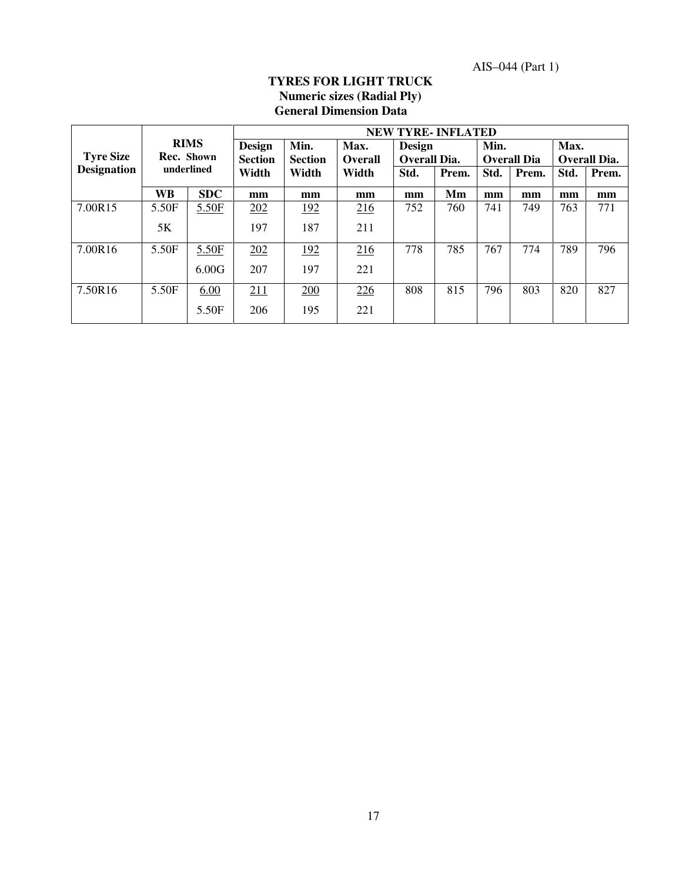AIS–044 (Part 1)

# **TYRES FOR LIGHT TRUCK Numeric sizes (Radial Ply) General Dimension Data**

|                                               |       |                                 |                        |                        |                               |      | <b>NEW TYRE-INFLATED</b> |                    |       |                     |       |
|-----------------------------------------------|-------|---------------------------------|------------------------|------------------------|-------------------------------|------|--------------------------|--------------------|-------|---------------------|-------|
| <b>RIMS</b><br><b>Tyre Size</b><br>Rec. Shown |       | <b>Design</b><br><b>Section</b> | Min.<br><b>Section</b> | Max.<br><b>Overall</b> | <b>Design</b><br>Overall Dia. |      | Min.                     | <b>Overall Dia</b> | Max.  | <b>Overall Dia.</b> |       |
| <b>Designation</b>                            |       | underlined                      | Width                  | Width                  | Width                         | Std. | Prem.                    | Std.               | Prem. | Std.                | Prem. |
|                                               | WB    | <b>SDC</b>                      | mm                     | mm                     | mm                            | mm   | Mm                       | mm                 | mm    | mm                  | mm    |
| 7.00R15                                       | 5.50F | 5.50F                           | 202                    | <u>192</u>             | 216                           | 752  | 760                      | 741                | 749   | 763                 | 771   |
|                                               | 5K    |                                 | 197                    | 187                    | 211                           |      |                          |                    |       |                     |       |
| 7.00R16                                       | 5.50F | 5.50F                           | 202                    | <u>192</u>             | 216                           | 778  | 785                      | 767                | 774   | 789                 | 796   |
|                                               |       | 6.00G                           | 207                    | 197                    | 221                           |      |                          |                    |       |                     |       |
| 7.50R16                                       | 5.50F | 6.00                            | 211                    | 200                    | 226                           | 808  | 815                      | 796                | 803   | 820                 | 827   |
|                                               |       | 5.50F                           | 206                    | 195                    | 221                           |      |                          |                    |       |                     |       |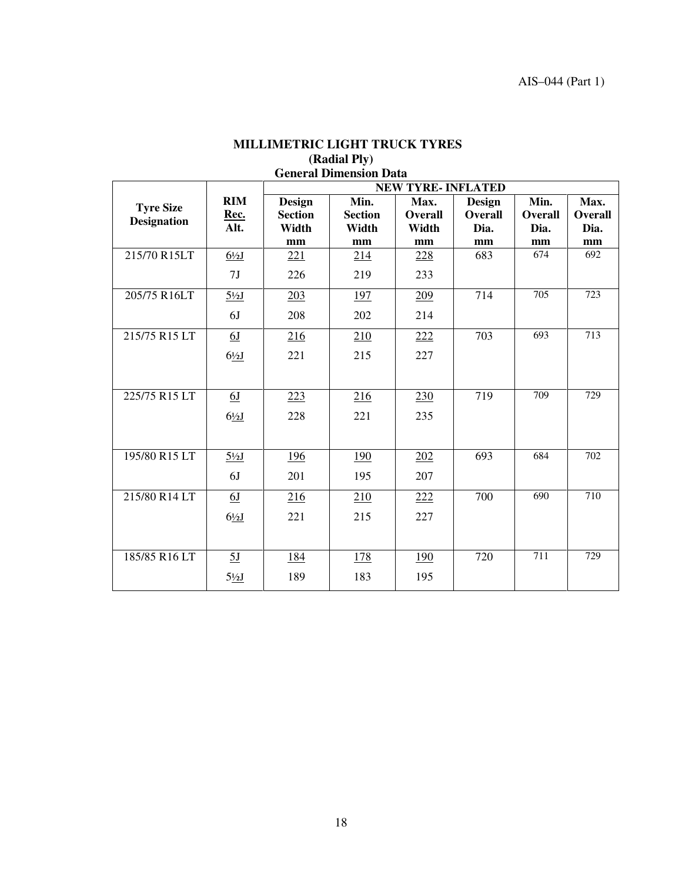| <b>General Dimension Data</b> |                  |                |                |                           |                |                |                |
|-------------------------------|------------------|----------------|----------------|---------------------------|----------------|----------------|----------------|
|                               |                  |                |                | <b>NEW TYRE- INFLATED</b> |                |                |                |
| <b>Tyre Size</b>              | <b>RIM</b>       | <b>Design</b>  | Min.           | Max.                      | <b>Design</b>  | Min.           | Max.           |
| <b>Designation</b>            | Rec.             | <b>Section</b> | <b>Section</b> | <b>Overall</b>            | <b>Overall</b> | <b>Overall</b> | <b>Overall</b> |
|                               | Alt.             | Width          | Width          | Width                     | Dia.           | Dia.           | Dia.           |
|                               |                  | mm             | mm             | mm                        | mm             | mm             | mm             |
| 215/70 R15LT                  | $6\frac{1}{2}$   | 221            | 214            | 228                       | 683            | 674            | 692            |
|                               | 7 <sub>J</sub>   | 226            | 219            | 233                       |                |                |                |
| 205/75 R16LT                  | $5\frac{1}{2}$ J | 203            | <u>197</u>     | 209                       | 714            | 705            | 723            |
|                               | 6J               | 208            | 202            | 214                       |                |                |                |
| 215/75 R15 LT                 | 6J               | 216            | 210            | 222                       | 703            | 693            | 713            |
|                               | $6\frac{1}{2}$   | 221            | 215            | 227                       |                |                |                |
|                               |                  |                |                |                           |                |                |                |
|                               |                  |                |                |                           |                |                |                |
| 225/75 R15 LT                 | 6J               | 223            | 216            | 230                       | 719            | 709            | 729            |
|                               | $6\frac{1}{2}$   | 228            | 221            | 235                       |                |                |                |
|                               |                  |                |                |                           |                |                |                |
| 195/80 R15 LT                 | $5\frac{1}{2}$   | 196            | <u>190</u>     | 202                       | 693            | 684            | 702            |
|                               |                  |                |                |                           |                |                |                |
|                               | 6J               | 201            | 195            | 207                       |                |                |                |
| 215/80 R14 LT                 | 6J               | 216            | 210            | 222                       | 700            | 690            | 710            |
|                               | $6\frac{1}{2}$   | 221            | 215            | 227                       |                |                |                |
|                               |                  |                |                |                           |                |                |                |
| 185/85 R16 LT                 | 5J               | 184            | <u>178</u>     | 190                       | 720            | 711            | 729            |
|                               | $5\frac{1}{2}$   | 189            | 183            | 195                       |                |                |                |
|                               |                  |                |                |                           |                |                |                |

# **MILLIMETRIC LIGHT TRUCK TYRES (Radial Ply)**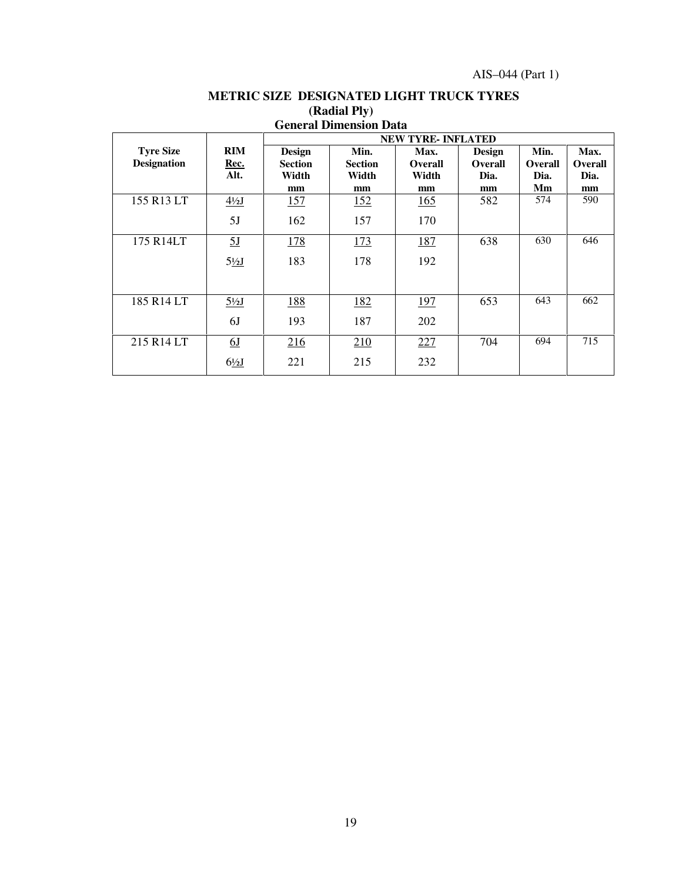|                    |                  |                | ocheran Dhhehsion Data |                          |                |                |                |
|--------------------|------------------|----------------|------------------------|--------------------------|----------------|----------------|----------------|
|                    |                  |                |                        | <b>NEW TYRE-INFLATED</b> |                |                |                |
| <b>Tyre Size</b>   | RIM              | <b>Design</b>  | Min.                   | Max.                     | <b>Design</b>  | Min.           | Max.           |
| <b>Designation</b> | Rec.             | <b>Section</b> | <b>Section</b>         | <b>Overall</b>           | <b>Overall</b> | <b>Overall</b> | <b>Overall</b> |
|                    | Alt.             | Width          | Width                  | Width                    | Dia.           |                |                |
|                    |                  |                |                        |                          |                | Dia.           | Dia.           |
|                    |                  | mm             | mm                     | mm                       | mm             | Мm             | mm             |
| 155 R13 LT         | $4\frac{1}{2}$   | 157            | 152                    | 165                      | 582            | 574            | 590            |
|                    | 5J               | 162            | 157                    | 170                      |                |                |                |
| 175 R14LT          | 5 <sub>J</sub>   | 178            | 173                    | 187                      | 638            | 630            | 646            |
|                    | $5\frac{1}{2}$   | 183            | 178                    | 192                      |                |                |                |
|                    |                  |                |                        |                          |                |                |                |
| 185 R14 LT         | $5\frac{1}{2}$ J | 188            | 182                    | 197                      | 653            | 643            | 662            |
|                    | 6J               | 193            | 187                    | 202                      |                |                |                |
| 215 R14 LT         | <u>6J</u>        | 216            | 210                    | 227                      | 704            | 694            | 715            |
|                    | $6\frac{1}{2}$   | 221            | 215                    | 232                      |                |                |                |

### **METRIC SIZE DESIGNATED LIGHT TRUCK TYRES (Radial Ply) General Dimension Data**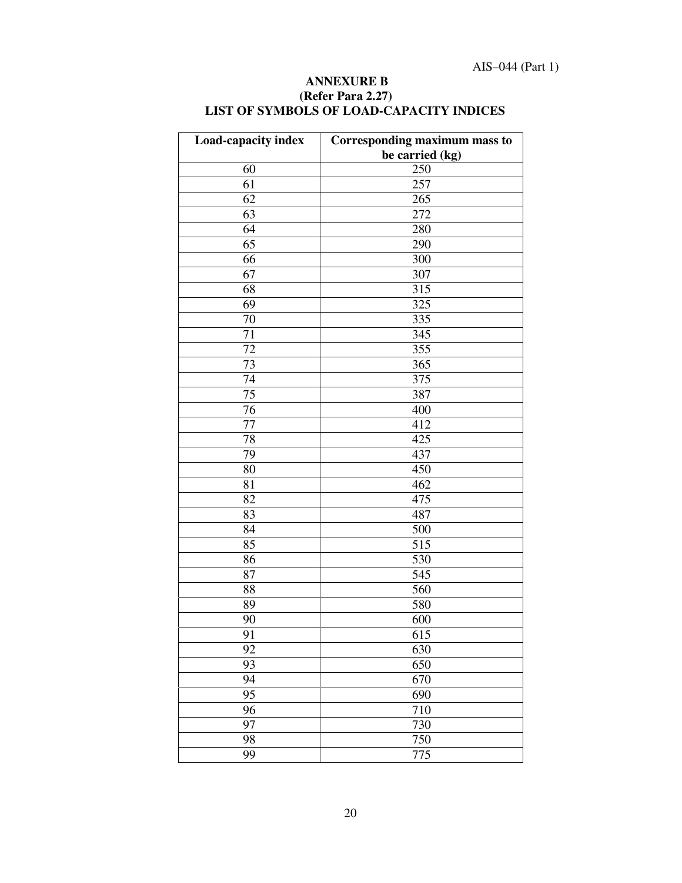| Load-capacity index | <b>Corresponding maximum mass to</b><br>be carried (kg) |  |  |  |
|---------------------|---------------------------------------------------------|--|--|--|
| 60                  | 250                                                     |  |  |  |
| 61                  | 257                                                     |  |  |  |
| 62                  | 265                                                     |  |  |  |
| 63                  | 272                                                     |  |  |  |
| 64                  | 280                                                     |  |  |  |
| 65                  | 290                                                     |  |  |  |
| 66                  | 300                                                     |  |  |  |
| 67                  | 307                                                     |  |  |  |
| 68                  | 315                                                     |  |  |  |
| 69                  | 325                                                     |  |  |  |
| 70                  | 335                                                     |  |  |  |
| 71                  | 345                                                     |  |  |  |
| 72                  | 355                                                     |  |  |  |
| 73                  | 365                                                     |  |  |  |
| 74                  | 375                                                     |  |  |  |
| 75                  | 387                                                     |  |  |  |
| 76                  | 400                                                     |  |  |  |
| 77                  | 412                                                     |  |  |  |
| 78                  | 425                                                     |  |  |  |
| 79                  | 437                                                     |  |  |  |
| 80                  | 450                                                     |  |  |  |
| 81                  | 462                                                     |  |  |  |
| 82                  | 475                                                     |  |  |  |
| 83                  | 487                                                     |  |  |  |
| 84                  | 500                                                     |  |  |  |
| 85                  | 515                                                     |  |  |  |
| 86                  | 530                                                     |  |  |  |
| 87                  | 545                                                     |  |  |  |
| 88                  | 560                                                     |  |  |  |
| 89                  | 580                                                     |  |  |  |
| 90                  | 600                                                     |  |  |  |
| 91                  | 615                                                     |  |  |  |
| 92                  | 630                                                     |  |  |  |
| 93                  | 650                                                     |  |  |  |
|                     | 670                                                     |  |  |  |
| 94                  |                                                         |  |  |  |
| 95                  | 690                                                     |  |  |  |
| 96                  | 710                                                     |  |  |  |
| 97                  | 730                                                     |  |  |  |
| 98                  | 750                                                     |  |  |  |
| 99                  | 775                                                     |  |  |  |

#### **ANNEXURE B (Refer Para 2.27) LIST OF SYMBOLS OF LOAD-CAPACITY INDICES**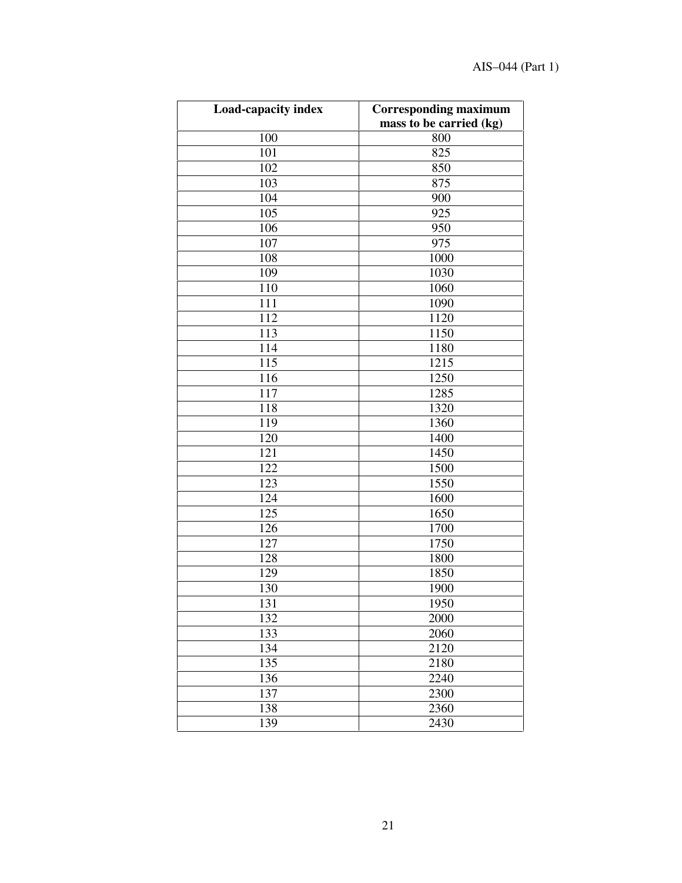| <b>Load-capacity index</b> | <b>Corresponding maximum</b> |
|----------------------------|------------------------------|
|                            | mass to be carried (kg)      |
| 100                        | 800                          |
| 101                        | 825                          |
| 102                        | 850                          |
| 103                        | 875                          |
| 104                        | 900                          |
| 105                        | 925                          |
| 106                        | 950                          |
| 107                        | 975                          |
| 108                        | 1000                         |
| 109                        | 1030                         |
| 110                        | 1060                         |
| 111                        | 1090                         |
| 112                        | 1120                         |
| 113                        | 1150                         |
| 114                        | 1180                         |
| 115                        | 1215                         |
| 116                        | 1250                         |
| 117                        | 1285                         |
| 118                        | 1320                         |
| 119                        | 1360                         |
| 120                        | 1400                         |
| 121                        | 1450                         |
| 122                        | 1500                         |
| 123                        | 1550                         |
| 124                        | 1600                         |
| 125                        | 1650                         |
| 126                        | 1700                         |
| 127                        | 1750                         |
| 128                        | 1800                         |
| 129                        | 1850                         |
| 130                        | 1900                         |
| 131                        | 1950                         |
| 132                        | 2000                         |
| 133                        | 2060                         |
| 134                        | 2120                         |
| 135                        | 2180                         |
| 136                        | 2240                         |
| 137                        | 2300                         |
| 138                        | 2360                         |
| 139                        | 2430                         |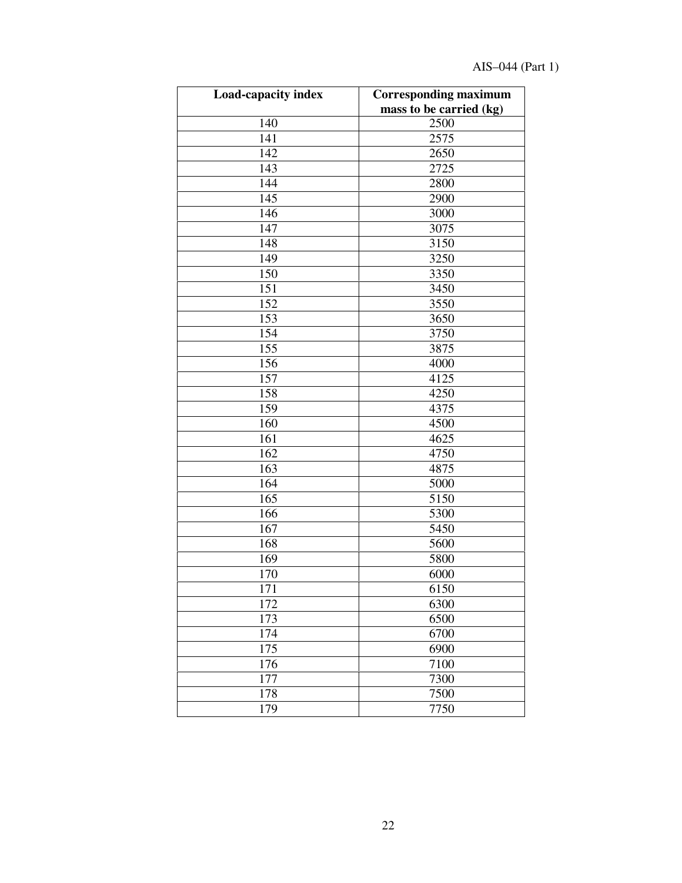# AIS–044 (Part 1)

| <b>Load-capacity index</b> | <b>Corresponding maximum</b> |
|----------------------------|------------------------------|
|                            | mass to be carried (kg)      |
| 140                        | 2500                         |
| 141                        | 2575                         |
| 142                        | 2650                         |
| 143                        | 2725                         |
| 144                        | 2800                         |
| 145                        | 2900                         |
| 146                        | 3000                         |
| 147                        | 3075                         |
| 148                        | 3150                         |
| 149                        | 3250                         |
| 150                        | 3350                         |
| 151                        | 3450                         |
| 152                        | 3550                         |
| 153                        | 3650                         |
| 154                        | 3750                         |
| 155                        | 3875                         |
| 156                        | 4000                         |
| 157                        | 4125                         |
| 158                        | 4250                         |
| 159                        | 4375                         |
| 160                        | 4500                         |
| 161                        | 4625                         |
| 162                        | 4750                         |
| 163                        | 4875                         |
| 164                        | 5000                         |
| 165                        | 5150                         |
| 166                        | 5300                         |
| 167                        | 5450                         |
| 168                        | 5600                         |
| 169                        | 5800                         |
| 170                        | 6000                         |
| 171                        | 6150                         |
| 172                        | 6300                         |
| 173                        | 6500                         |
| 174                        | 6700                         |
| 175                        | 6900                         |
| 176                        | 7100                         |
| 177                        | 7300                         |
| 178                        | 7500                         |
| 179                        | 7750                         |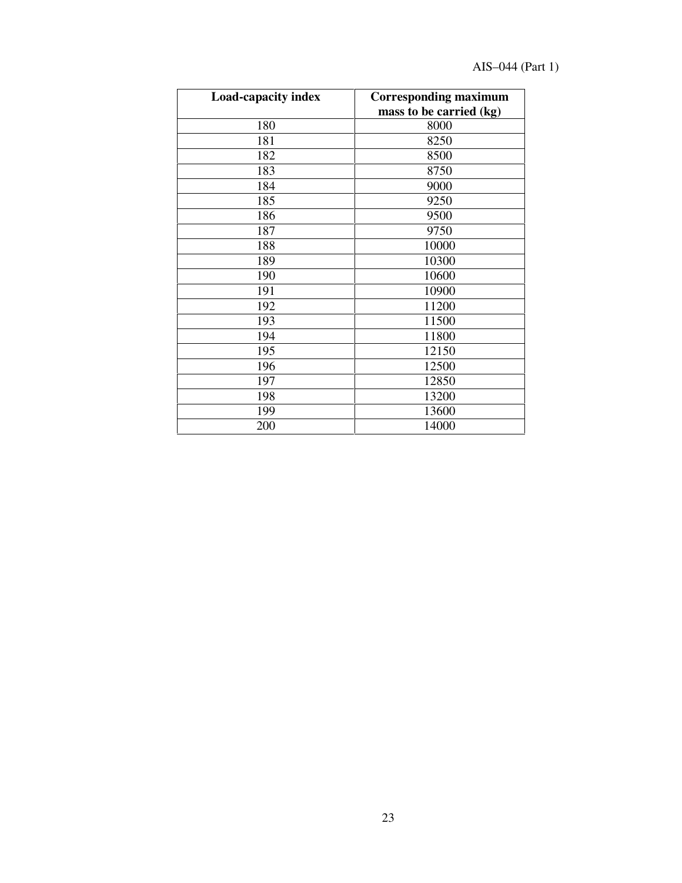# AIS–044 (Part 1)

| Load-capacity index | <b>Corresponding maximum</b><br>mass to be carried (kg) |
|---------------------|---------------------------------------------------------|
| 180                 | 8000                                                    |
| 181                 | 8250                                                    |
| 182                 | 8500                                                    |
| 183                 | 8750                                                    |
| 184                 | 9000                                                    |
| 185                 | 9250                                                    |
| 186                 | 9500                                                    |
| 187                 | 9750                                                    |
| 188                 | 10000                                                   |
| 189                 | 10300                                                   |
| 190                 | 10600                                                   |
| 191                 | 10900                                                   |
| 192                 | 11200                                                   |
| 193                 | 11500                                                   |
| 194                 | 11800                                                   |
| 195                 | 12150                                                   |
| 196                 | 12500                                                   |
| 197                 | 12850                                                   |
| 198                 | 13200                                                   |
| 199                 | 13600                                                   |
| 200                 | 14000                                                   |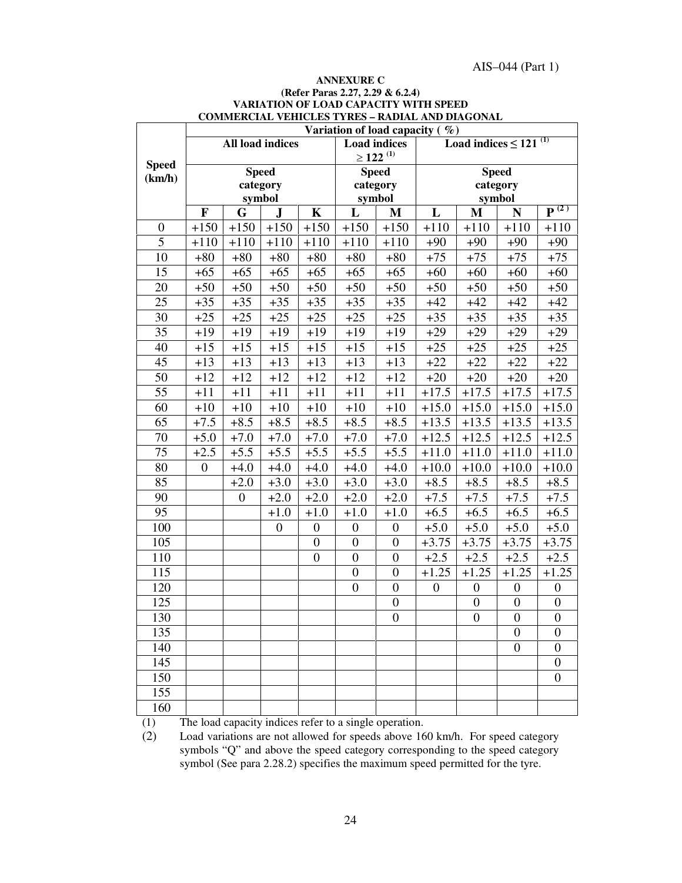#### **ANNEXURE C (Refer Paras 2.27, 2.29 & 6.2.4) VARIATION OF LOAD CAPACITY WITH SPEED COMMERCIAL VEHICLES TYRES – RADIAL AND DIAGONAL**

|                  | Variation of load capacity $(\%)$ |                         |                  |                  |                     |                           |                  |                                        |                  |                               |  |
|------------------|-----------------------------------|-------------------------|------------------|------------------|---------------------|---------------------------|------------------|----------------------------------------|------------------|-------------------------------|--|
|                  |                                   | <b>All load indices</b> |                  |                  | <b>Load</b> indices |                           |                  | Load indices $\leq$ 121 <sup>(1)</sup> |                  |                               |  |
| <b>Speed</b>     |                                   |                         |                  |                  |                     | $\geq$ 122 <sup>(1)</sup> |                  |                                        |                  |                               |  |
| (km/h)           |                                   | <b>Speed</b>            |                  |                  |                     | <b>Speed</b>              |                  | <b>Speed</b>                           |                  |                               |  |
|                  |                                   |                         | category         |                  | category            |                           |                  |                                        | category         |                               |  |
|                  |                                   | symbol                  |                  |                  |                     | symbol                    |                  |                                        | symbol           | $\overline{\mathbf{P}^{(2)}}$ |  |
|                  | $\mathbf F$                       | G                       | J                | $\mathbf K$      | L                   | $\mathbf{M}$              | L                | $\mathbf{M}$                           | N                |                               |  |
| $\boldsymbol{0}$ | $+150$                            | $+150$                  | $+150$           | $+150$           | $+150$              | $+150$                    | $+110$           | $+110$                                 | $+110$           | $+110$                        |  |
| 5                | $+110$                            | $+110$                  | $+110$           | $+110$           | $+110$              | $+110$                    | $+90$            | $+90$                                  | $+90$            | $+90$                         |  |
| 10               | $+80$                             | $+80$                   | $+80$            | $+80$            | $+80$               | $+80$                     | $+75$            | $+75$                                  | $+75$            | $+75$                         |  |
| 15               | $+65$                             | $+65$                   | $+65$            | $+65$            | $+65$               | $+65$                     | $+60$            | $+60$                                  | $+60$            | $+60$                         |  |
| 20               | $+50$                             | $+50$                   | $+50$            | $+50$            | $+50$               | $+50$                     | $+50$            | $+50$                                  | $+50$            | $+50$                         |  |
| 25               | $+35$                             | $+35$                   | $+35$            | $+35$            | $+35$               | $+35$                     | $+42$            | $+42$                                  | $+42$            | $+42$                         |  |
| 30               | $+25$                             | $+25$                   | $+25$            | $+25$            | $+25$               | $+25$                     | $+35$            | $+35$                                  | $+35$            | $+35$                         |  |
| 35               | $+19$                             | $+19$                   | $+19$            | $+19$            | $+19$               | $+19$                     | $+29$            | $+29$                                  | $+29$            | $+29$                         |  |
| 40               | $+15$                             | $+15$                   | $+15$            | $+15$            | $+15$               | $+15$                     | $+25$            | $+25$                                  | $+25$            | $+25$                         |  |
| 45               | $+13$                             | $+13$                   | $+13$            | $+13$            | $+13$               | $+13$                     | $+22$            | $+22$                                  | $+22$            | $+22$                         |  |
| 50               | $+12$                             | $+12$                   | $+12$            | $+12$            | $+12$               | $+12$                     | $+20$            | $+20$                                  | $+20$            | $+20$                         |  |
| 55               | $+11$                             | $+11$                   | $+11$            | $+11$            | $+11$               | $+11$                     | $+17.5$          | $+17.5$                                | $+17.5$          | $+17.5$                       |  |
| 60               | $+10$                             | $+10$                   | $+10$            | $+10$            | $+10$               | $+10$                     | $+15.0$          | $+15.0$                                | $+15.0$          | $+15.0$                       |  |
| 65               | $+7.5$                            | $+8.5$                  | $+8.5$           | $+8.5$           | $+8.5$              | $+8.5$                    | $+13.5$          | $+13.5$                                | $+13.5$          | $+13.5$                       |  |
| 70               | $+5.0$                            | $+7.0$                  | $+7.0$           | $+7.0$           | $+7.0$              | $+7.0$                    | $+12.5$          | $+12.5$                                | $+12.5$          | $+12.5$                       |  |
| 75               | $+2.5$                            | $+5.5$                  | $+5.5$           | $+5.5$           | $+5.5$              | $+5.5$                    | $+11.0$          | $+11.0$                                | $+11.0$          | $+11.0$                       |  |
| 80               | $\mathbf{0}$                      | $+4.0$                  | $+4.0$           | $+4.0$           | $+4.0$              | $+4.0$                    | $+10.0$          | $+10.0$                                | $+10.0$          | $+10.0$                       |  |
| 85               |                                   | $+2.0$                  | $+3.0$           | $+3.0$           | $+3.0$              | $+3.0$                    | $+8.5$           | $+8.5$                                 | $+8.5$           | $+8.5$                        |  |
| 90               |                                   | $\boldsymbol{0}$        | $+2.0$           | $+2.0$           | $+2.0$              | $+2.0$                    | $+7.5$           | $+7.5$                                 | $+7.5$           | $+7.5$                        |  |
| 95               |                                   |                         | $+1.0$           | $+1.0$           | $+1.0$              | $+1.0$                    | $+6.5$           | $+6.5$                                 | $+6.5$           | $+6.5$                        |  |
| 100              |                                   |                         | $\boldsymbol{0}$ | $\boldsymbol{0}$ | $\boldsymbol{0}$    | $\boldsymbol{0}$          | $+5.0$           | $+5.0$                                 | $+5.0$           | $+5.0$                        |  |
| 105              |                                   |                         |                  | $\boldsymbol{0}$ | $\overline{0}$      | $\boldsymbol{0}$          | $+3.75$          | $+3.75$                                | $+3.75$          | $+3.75$                       |  |
| 110              |                                   |                         |                  | $\mathbf{0}$     | $\boldsymbol{0}$    | $\mathbf{0}$              | $+2.5$           | $+2.5$                                 | $+2.5$           | $+2.5$                        |  |
| 115              |                                   |                         |                  |                  | $\overline{0}$      | $\boldsymbol{0}$          | $+1.25$          | $+1.25$                                | $+1.25$          | $+1.25$                       |  |
| 120              |                                   |                         |                  |                  | $\overline{0}$      | $\overline{0}$            | $\boldsymbol{0}$ | $\boldsymbol{0}$                       | $\boldsymbol{0}$ | $\boldsymbol{0}$              |  |
| 125              |                                   |                         |                  |                  |                     | $\boldsymbol{0}$          |                  | $\boldsymbol{0}$                       | $\boldsymbol{0}$ | $\boldsymbol{0}$              |  |
| 130              |                                   |                         |                  |                  |                     | $\boldsymbol{0}$          |                  | $\boldsymbol{0}$                       | $\boldsymbol{0}$ | $\boldsymbol{0}$              |  |
| 135              |                                   |                         |                  |                  |                     |                           |                  |                                        | $\boldsymbol{0}$ | $\mathbf{0}$                  |  |
| 140              |                                   |                         |                  |                  |                     |                           |                  |                                        | $\boldsymbol{0}$ | $\overline{0}$                |  |
| 145              |                                   |                         |                  |                  |                     |                           |                  |                                        |                  | $\boldsymbol{0}$              |  |
| 150              |                                   |                         |                  |                  |                     |                           |                  |                                        |                  | $\boldsymbol{0}$              |  |
| 155              |                                   |                         |                  |                  |                     |                           |                  |                                        |                  |                               |  |
| 160              |                                   |                         |                  |                  |                     |                           |                  |                                        |                  |                               |  |

(1) The load capacity indices refer to a single operation.

(2) Load variations are not allowed for speeds above 160 km/h. For speed category symbols "Q" and above the speed category corresponding to the speed category symbol (See para 2.28.2) specifies the maximum speed permitted for the tyre.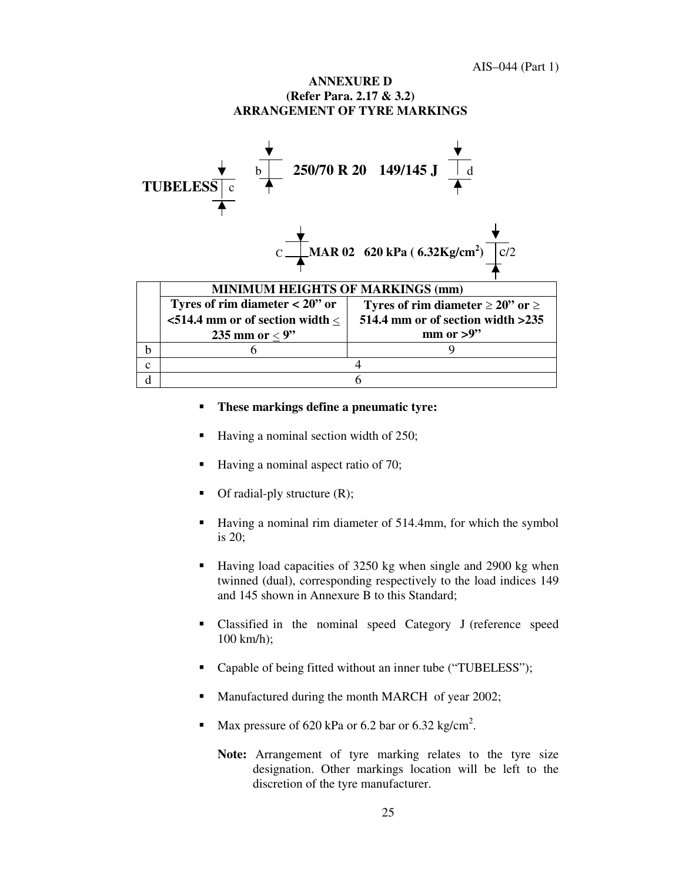#### **ANNEXURE D (Refer Para. 2.17 & 3.2) ARRANGEMENT OF TYRE MARKINGS**



#### **These markings define a pneumatic tyre:**

- Having a nominal section width of 250;
- Having a nominal aspect ratio of 70;
- Of radial-ply structure (R);
- Having a nominal rim diameter of 514.4mm, for which the symbol is 20;
- Having load capacities of 3250 kg when single and 2900 kg when twinned (dual), corresponding respectively to the load indices 149 and 145 shown in Annexure B to this Standard;
- Classified in the nominal speed Category J (reference speed 100 km/h);
- Capable of being fitted without an inner tube ("TUBELESS");
- Manufactured during the month MARCH of year 2002;
- Max pressure of 620 kPa or 6.2 bar or 6.32 kg/cm<sup>2</sup>.
	- **Note:** Arrangement of tyre marking relates to the tyre size designation. Other markings location will be left to the discretion of the tyre manufacturer.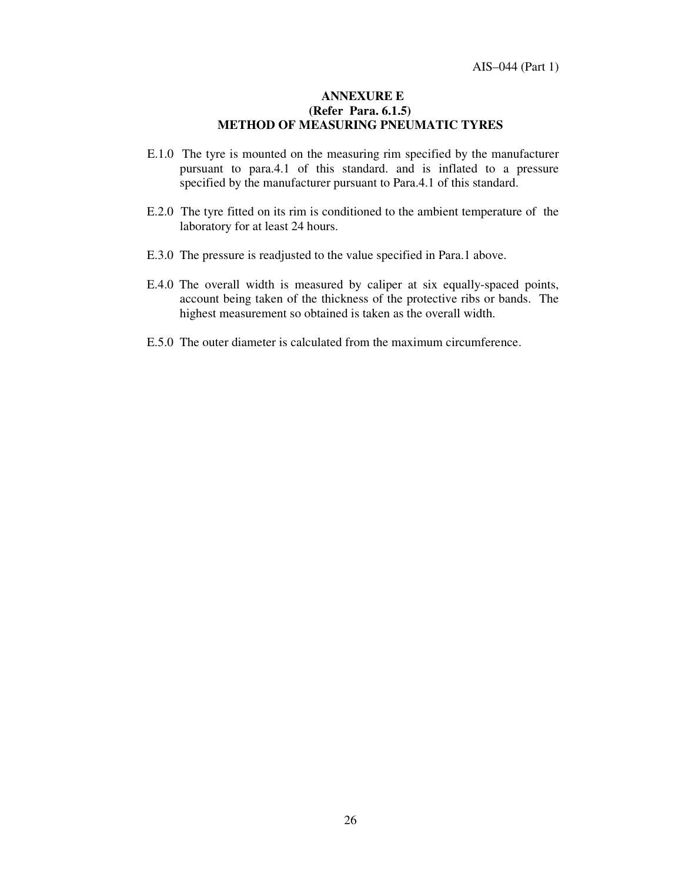#### **ANNEXURE E (Refer Para. 6.1.5) METHOD OF MEASURING PNEUMATIC TYRES**

- E.1.0 The tyre is mounted on the measuring rim specified by the manufacturer pursuant to para.4.1 of this standard. and is inflated to a pressure specified by the manufacturer pursuant to Para.4.1 of this standard.
- E.2.0 The tyre fitted on its rim is conditioned to the ambient temperature of the laboratory for at least 24 hours.
- E.3.0 The pressure is readjusted to the value specified in Para.1 above.
- E.4.0 The overall width is measured by caliper at six equally-spaced points, account being taken of the thickness of the protective ribs or bands. The highest measurement so obtained is taken as the overall width.
- E.5.0 The outer diameter is calculated from the maximum circumference.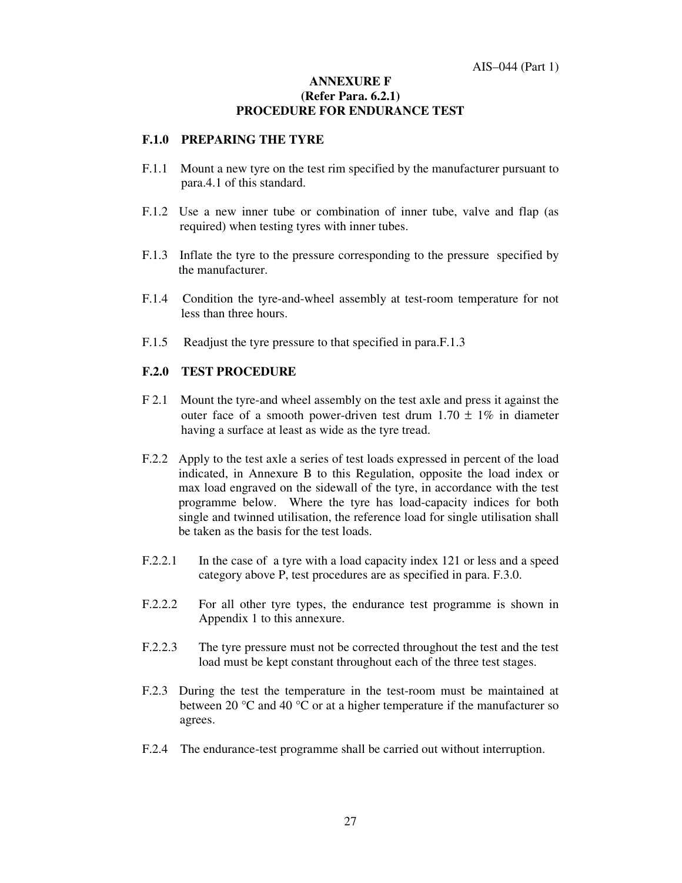#### **ANNEXURE F (Refer Para. 6.2.1) PROCEDURE FOR ENDURANCE TEST**

#### **F.1.0 PREPARING THE TYRE**

- F.1.1 Mount a new tyre on the test rim specified by the manufacturer pursuant to para.4.1 of this standard.
- F.1.2 Use a new inner tube or combination of inner tube, valve and flap (as required) when testing tyres with inner tubes.
- F.1.3 Inflate the tyre to the pressure corresponding to the pressure specified by the manufacturer.
- F.1.4 Condition the tyre-and-wheel assembly at test-room temperature for not less than three hours.
- F.1.5 Readjust the tyre pressure to that specified in para.F.1.3

#### **F.2.0 TEST PROCEDURE**

- F 2.1 Mount the tyre-and wheel assembly on the test axle and press it against the outer face of a smooth power-driven test drum  $1.70 \pm 1\%$  in diameter having a surface at least as wide as the tyre tread.
- F.2.2 Apply to the test axle a series of test loads expressed in percent of the load indicated, in Annexure B to this Regulation, opposite the load index or max load engraved on the sidewall of the tyre, in accordance with the test programme below. Where the tyre has load-capacity indices for both single and twinned utilisation, the reference load for single utilisation shall be taken as the basis for the test loads.
- F.2.2.1 In the case of a tyre with a load capacity index 121 or less and a speed category above P, test procedures are as specified in para. F.3.0.
- F.2.2.2 For all other tyre types, the endurance test programme is shown in Appendix 1 to this annexure.
- F.2.2.3 The tyre pressure must not be corrected throughout the test and the test load must be kept constant throughout each of the three test stages.
- F.2.3 During the test the temperature in the test-room must be maintained at between 20  $\degree$ C and 40  $\degree$ C or at a higher temperature if the manufacturer so agrees.
- F.2.4 The endurance-test programme shall be carried out without interruption.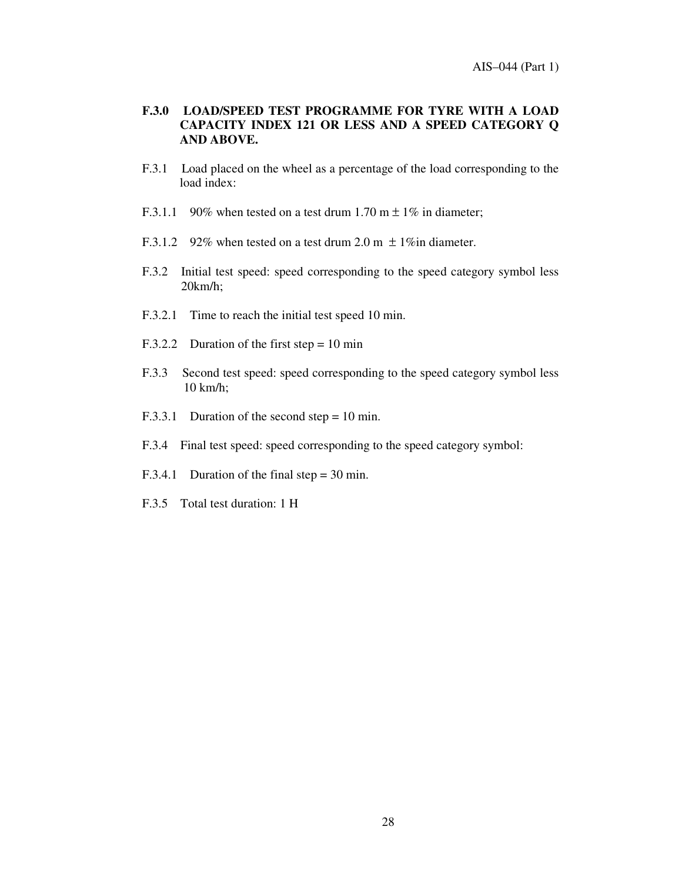#### **F.3.0 LOAD/SPEED TEST PROGRAMME FOR TYRE WITH A LOAD CAPACITY INDEX 121 OR LESS AND A SPEED CATEGORY Q AND ABOVE.**

- F.3.1 Load placed on the wheel as a percentage of the load corresponding to the load index:
- F.3.1.1 90% when tested on a test drum 1.70 m  $\pm$  1% in diameter;
- F.3.1.2 92% when tested on a test drum 2.0 m  $\pm$  1% in diameter.
- F.3.2 Initial test speed: speed corresponding to the speed category symbol less 20km/h;
- F.3.2.1 Time to reach the initial test speed 10 min.
- F.3.2.2 Duration of the first step = 10 min
- F.3.3 Second test speed: speed corresponding to the speed category symbol less 10 km/h;
- F.3.3.1 Duration of the second step = 10 min.
- F.3.4 Final test speed: speed corresponding to the speed category symbol:
- F.3.4.1 Duration of the final step = 30 min.
- F.3.5 Total test duration: 1 H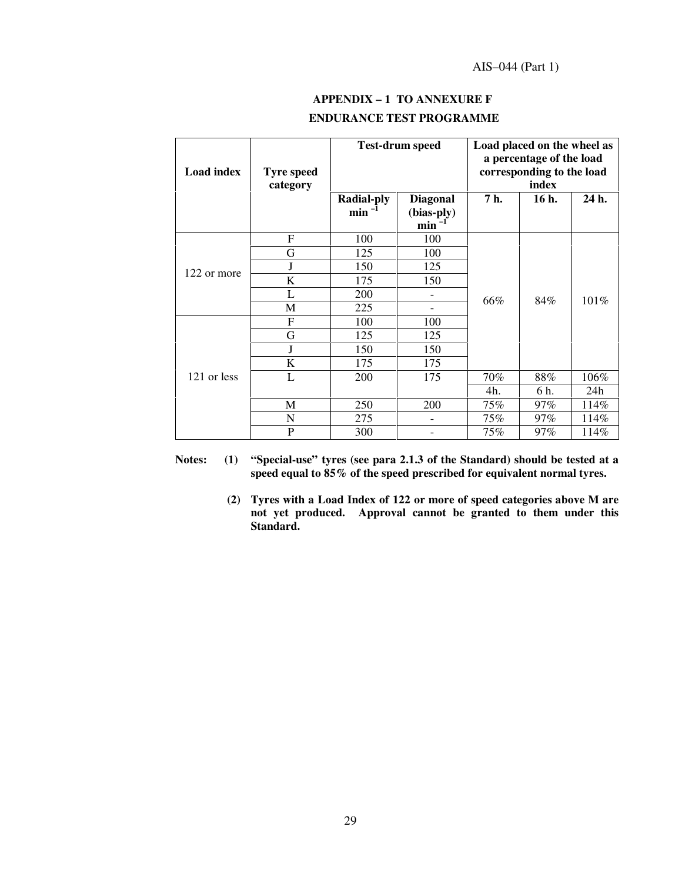| $APPENDIX - 1 TO ANNEXURE F$    |
|---------------------------------|
| <b>ENDURANCE TEST PROGRAMME</b> |

| <b>Load index</b> | <b>Tyre speed</b><br>category |                                 | <b>Test-drum speed</b>               |      | Load placed on the wheel as<br>a percentage of the load<br>corresponding to the load<br>index |       |
|-------------------|-------------------------------|---------------------------------|--------------------------------------|------|-----------------------------------------------------------------------------------------------|-------|
|                   |                               | <b>Radial-ply</b><br>$min^{-1}$ | <b>Diagonal</b><br>(bias-ply)<br>min | 7 h. | 16 h.                                                                                         | 24 h. |
|                   | F                             | 100                             | 100                                  |      |                                                                                               |       |
|                   | G                             | 125                             | 100                                  |      |                                                                                               |       |
| 122 or more       | J                             | 150                             | 125                                  |      |                                                                                               |       |
|                   | K                             | 175                             | 150                                  |      |                                                                                               |       |
|                   | L                             | 200                             |                                      | 66%  | 84%                                                                                           | 101%  |
|                   | M                             | 225                             |                                      |      |                                                                                               |       |
|                   | F                             | 100                             | 100                                  |      |                                                                                               |       |
|                   | G                             | 125                             | 125                                  |      |                                                                                               |       |
|                   | J                             | 150                             | 150                                  |      |                                                                                               |       |
|                   | K                             | 175                             | 175                                  |      |                                                                                               |       |
| 121 or less       | L                             | 200                             | 175                                  | 70%  | 88%                                                                                           | 106%  |
|                   |                               |                                 |                                      | 4h.  | 6 h.                                                                                          | 24h   |
|                   | $\mathbf M$                   | 250                             | 200                                  | 75%  | 97%                                                                                           | 114%  |
|                   | N                             | 275                             |                                      | 75%  | 97%                                                                                           | 114%  |
|                   | P                             | 300                             |                                      | 75%  | $97\%$                                                                                        | 114%  |

**Notes: (1) " Special-use" tyres (see para 2.1.3 of the Standard) should be tested at a speed equal to 85% of the speed prescribed for equivalent normal tyres.**

> **(2) Tyres with a Load Index of 122 or more of speed categories above M are not yet produced. Approval cannot be granted to them under this Standard.**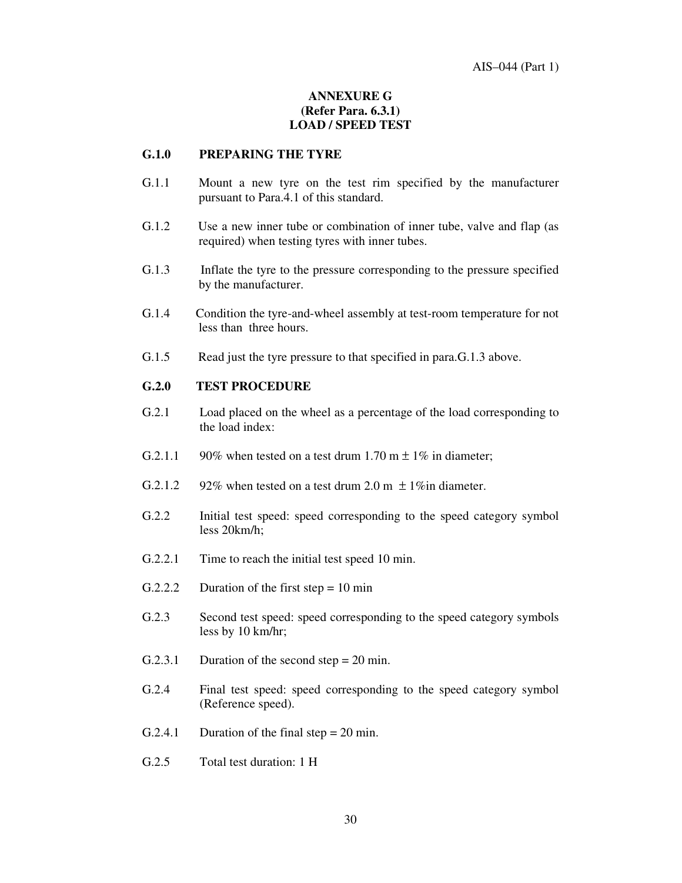### **ANNEXURE G (Refer Para. 6.3.1) LOAD / SPEED TEST**

#### **G.1.0 PREPARING THE TYRE**

- G.1.1 Mount a new tyre on the test rim specified by the manufacturer pursuant to Para.4.1 of this standard.
- G.1.2 Use a new inner tube or combination of inner tube, valve and flap (as required) when testing tyres with inner tubes.
- G.1.3 Inflate the tyre to the pressure corresponding to the pressure specified by the manufacturer.
- G.1.4 Condition the tyre-and-wheel assembly at test-room temperature for not less than three hours.
- G.1.5 Read just the tyre pressure to that specified in para.G.1.3 above.

#### **G.2.0 TEST PROCEDURE**

- G.2.1 Load placed on the wheel as a percentage of the load corresponding to the load index:
- G.2.1.1 90% when tested on a test drum 1.70 m  $\pm$  1% in diameter:
- G.2.1.2 92% when tested on a test drum 2.0 m  $\pm$  1% in diameter.
- G.2.2 Initial test speed: speed corresponding to the speed category symbol less 20km/h;
- G.2.2.1 Time to reach the initial test speed 10 min.
- G.2.2.2 Duration of the first step =  $10 \text{ min}$
- G.2.3 Second test speed: speed corresponding to the speed category symbols less by 10 km/hr;
- G.2.3.1 Duration of the second step = 20 min.
- G.2.4 Final test speed: speed corresponding to the speed category symbol (Reference speed).
- G.2.4.1 Duration of the final step  $= 20$  min.
- G.2.5 Total test duration: 1 H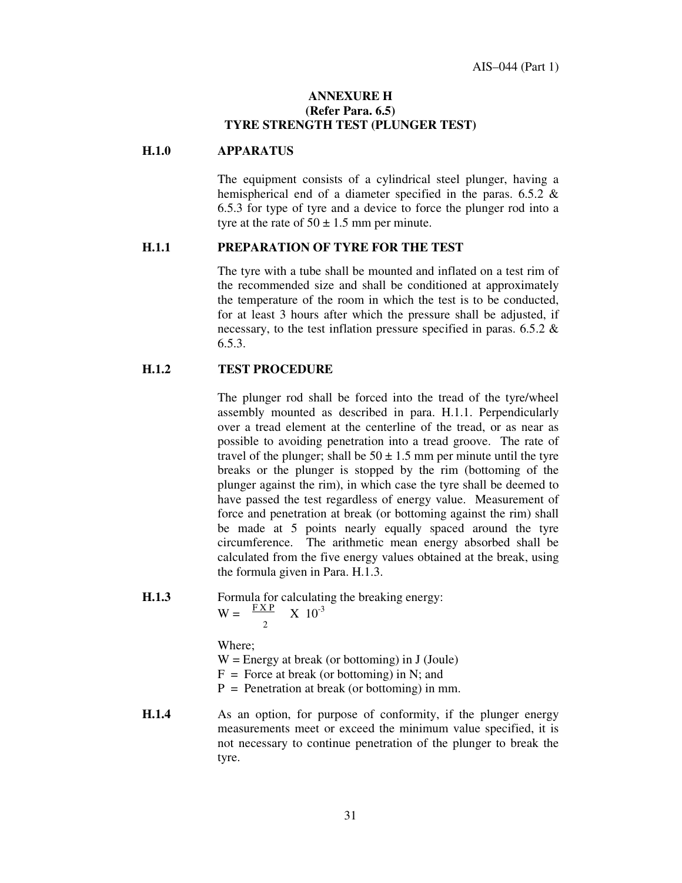#### **ANNEXURE H (Refer Para. 6.5) TYRE STRENGTH TEST (PLUNGER TEST)**

#### **H.1.0 APPARATUS**

The equipment consists of a cylindrical steel plunger, having a hemispherical end of a diameter specified in the paras. 6.5.2 & 6.5.3 for type of tyre and a device to force the plunger rod into a tyre at the rate of  $50 \pm 1.5$  mm per minute.

#### **H.1.1 PREPARATION OF TYRE FOR THE TEST**

The tyre with a tube shall be mounted and inflated on a test rim of the recommended size and shall be conditioned at approximately the temperature of the room in which the test is to be conducted, for at least 3 hours after which the pressure shall be adjusted, if necessary, to the test inflation pressure specified in paras. 6.5.2 & 6.5.3.

#### **H.1.2 TEST PROCEDURE**

The plunger rod shall be forced into the tread of the tyre/wheel assembly mounted as described in para. H.1.1. Perpendicularly over a tread element at the centerline of the tread, or as near as possible to avoiding penetration into a tread groove. The rate of travel of the plunger; shall be  $50 \pm 1.5$  mm per minute until the tyre breaks or the plunger is stopped by the rim (bottoming of the plunger against the rim), in which case the tyre shall be deemed to have passed the test regardless of energy value. Measurement of force and penetration at break (or bottoming against the rim) shall be made at 5 points nearly equally spaced around the tyre circumference. The arithmetic mean energy absorbed shall be calculated from the five energy values obtained at the break, using the formula given in Para. H.1.3.

- **H.1.3** Formula for calculating the breaking energy:  $W = \frac{FXP}{X} = 10^{-3}$ 2 Where;  $W =$  Energy at break (or bottoming) in J (Joule)  $F =$  Force at break (or bottoming) in N; and  $P =$  Penetration at break (or bottoming) in mm. **H.1.4** As an option, for purpose of conformity, if the plunger energy
- measurements meet or exceed the minimum value specified, it is not necessary to continue penetration of the plunger to break the tyre.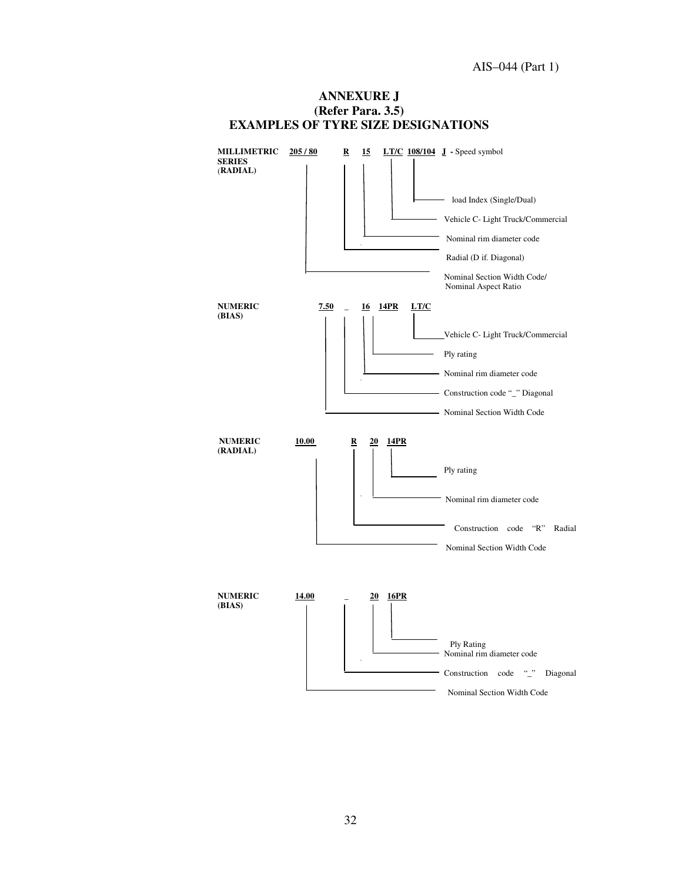

**ANNEXURE J (Refer Para. 3.5)**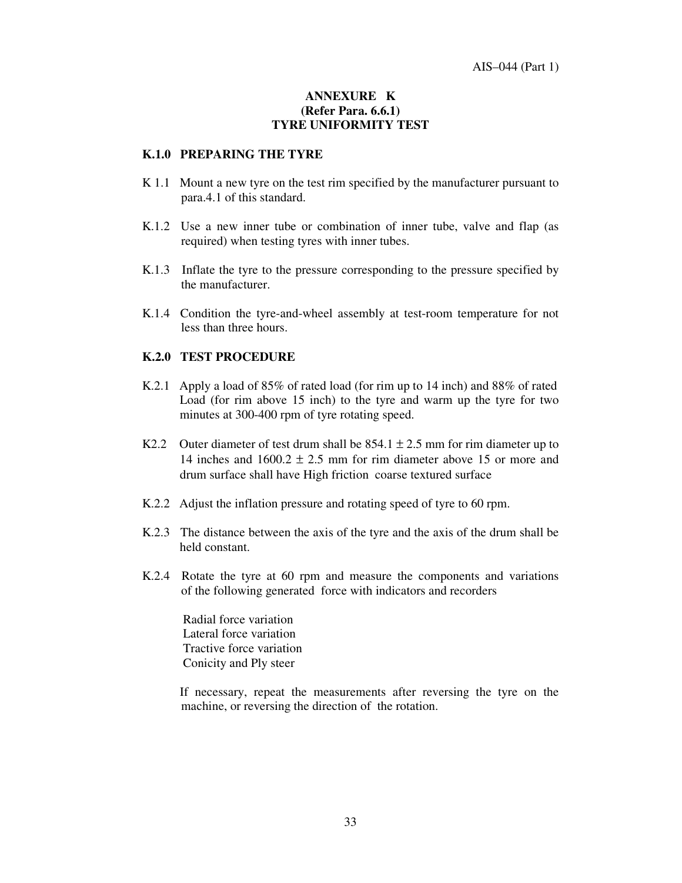#### **ANNEXURE K (Refer Para. 6.6.1) TYRE UNIFORMITY TEST**

#### **K.1.0 PREPARING THE TYRE**

- K 1.1 Mount a new tyre on the test rim specified by the manufacturer pursuant to para.4.1 of this standard.
- K.1.2 Use a new inner tube or combination of inner tube, valve and flap (as required) when testing tyres with inner tubes.
- K.1.3 Inflate the tyre to the pressure corresponding to the pressure specified by the manufacturer.
- K.1.4 Condition the tyre-and-wheel assembly at test-room temperature for not less than three hours.

#### **K.2.0 TEST PROCEDURE**

- K.2.1 Apply a load of 85% of rated load (for rim up to 14 inch) and 88% of rated Load (for rim above 15 inch) to the tyre and warm up the tyre for two minutes at 300-400 rpm of tyre rotating speed.
- K2.2 Outer diameter of test drum shall be  $854.1 \pm 2.5$  mm for rim diameter up to 14 inches and  $1600.2 \pm 2.5$  mm for rim diameter above 15 or more and drum surface shall have High friction coarse textured surface
- K.2.2 Adjust the inflation pressure and rotating speed of tyre to 60 rpm.
- K.2.3 The distance between the axis of the tyre and the axis of the drum shall be held constant.
- K.2.4 Rotate the tyre at 60 rpm and measure the components and variations of the following generated force with indicators and recorders

Radial force variation Lateral force variation Tractive force variation Conicity and Ply steer

If necessary, repeat the measurements after reversing the tyre on the machine, or reversing the direction of the rotation.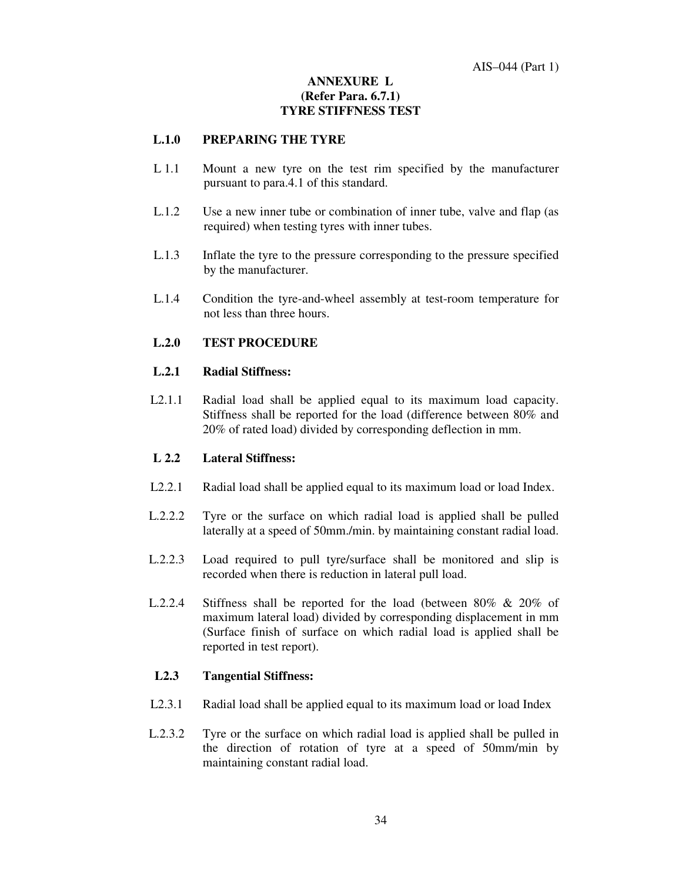#### **ANNEXURE L (Refer Para. 6.7.1) TYRE STIFFNESS TEST**

#### **L.1.0 PREPARING THE TYRE**

- L 1.1 Mount a new tyre on the test rim specified by the manufacturer pursuant to para.4.1 of this standard.
- L.1.2 Use a new inner tube or combination of inner tube, valve and flap (as required) when testing tyres with inner tubes.
- L.1.3 Inflate the tyre to the pressure corresponding to the pressure specified by the manufacturer.
- L.1.4 Condition the tyre-and-wheel assembly at test-room temperature for not less than three hours.

#### **L.2.0 TEST PROCEDURE**

#### **L.2.1 Radial Stiffness:**

L2.1.1 Radial load shall be applied equal to its maximum load capacity. Stiffness shall be reported for the load (difference between 80% and 20% of rated load) divided by corresponding deflection in mm.

#### **L 2.2 Lateral Stiffness:**

- L2.2.1 Radial load shall be applied equal to its maximum load or load Index.
- L.2.2.2 Tyre or the surface on which radial load is applied shall be pulled laterally at a speed of 50mm./min. by maintaining constant radial load.
- L.2.2.3 Load required to pull tyre/surface shall be monitored and slip is recorded when there is reduction in lateral pull load.
- L.2.2.4 Stiffness shall be reported for the load (between 80% & 20% of maximum lateral load) divided by corresponding displacement in mm (Surface finish of surface on which radial load is applied shall be reported in test report).

#### **L2.3 Tangential Stiffness:**

- L2.3.1 Radial load shall be applied equal to its maximum load or load Index
- L.2.3.2 Tyre or the surface on which radial load is applied shall be pulled in the direction of rotation of tyre at a speed of 50mm/min by maintaining constant radial load.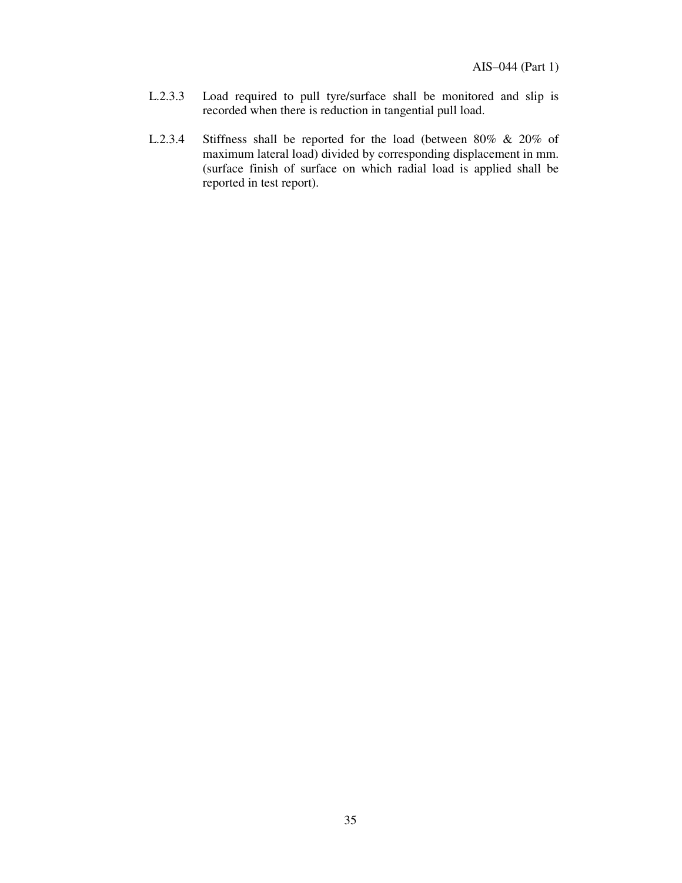- L.2.3.3 Load required to pull tyre/surface shall be monitored and slip is recorded when there is reduction in tangential pull load.
- L.2.3.4 Stiffness shall be reported for the load (between 80% & 20% of maximum lateral load) divided by corresponding displacement in mm. (surface finish of surface on which radial load is applied shall be reported in test report).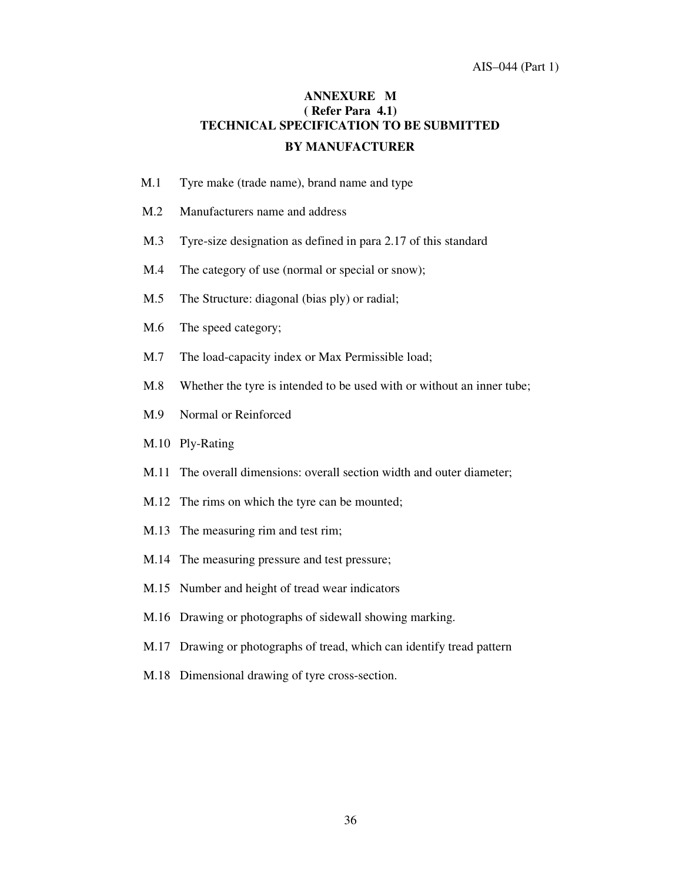#### AIS–044 (Part 1)

# **ANNEXURE M ( Refer Para 4.1) TECHNICAL SPECIFICATION TO BE SUBMITTED BY MANUFACTURER**

- M.1 Tyre make (trade name), brand name and type
- M.2 Manufacturers name and address
- M.3 Tyre-size designation as defined in para 2.17 of this standard
- M.4 The category of use (normal or special or snow);
- M.5 The Structure: diagonal (bias ply) or radial;
- M.6 The speed category;
- M.7 The load-capacity index or Max Permissible load;
- M.8 Whether the tyre is intended to be used with or without an inner tube;
- M.9 Normal or Reinforced
- M.10 Ply-Rating
- M.11 The overall dimensions: overall section width and outer diameter;
- M.12 The rims on which the tyre can be mounted;
- M.13 The measuring rim and test rim;
- M.14 The measuring pressure and test pressure;
- M.15 Number and height of tread wear indicators
- M.16 Drawing or photographs of sidewall showing marking.
- M.17 Drawing or photographs of tread, which can identify tread pattern
- M.18 Dimensional drawing of tyre cross-section.